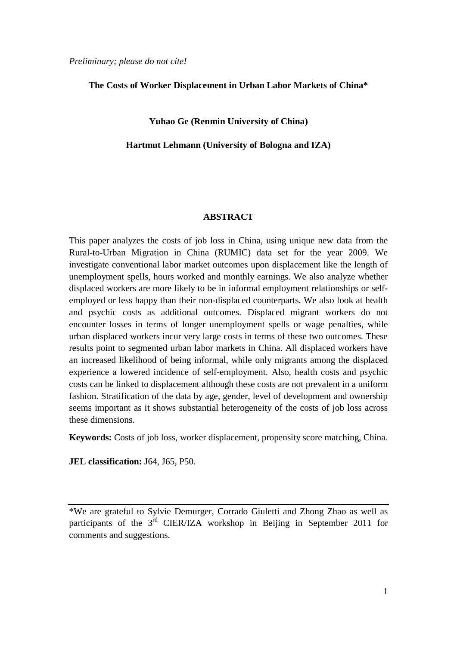*Preliminary; please do not cite!*

### **The Costs of Worker Displacement in Urban Labor Markets of China\***

### **Yuhao Ge (Renmin University of China)**

### **Hartmut Lehmann (University of Bologna and IZA)**

#### **ABSTRACT**

This paper analyzes the costs of job loss in China, using unique new data from the Rural-to-Urban Migration in China (RUMIC) data set for the year 2009. We investigate conventional labor market outcomes upon displacement like the length of unemployment spells, hours worked and monthly earnings. We also analyze whether displaced workers are more likely to be in informal employment relationships or selfemployed or less happy than their non-displaced counterparts. We also look at health and psychic costs as additional outcomes. Displaced migrant workers do not encounter losses in terms of longer unemployment spells or wage penalties, while urban displaced workers incur very large costs in terms of these two outcomes. These results point to segmented urban labor markets in China. All displaced workers have an increased likelihood of being informal, while only migrants among the displaced experience a lowered incidence of self-employment. Also, health costs and psychic costs can be linked to displacement although these costs are not prevalent in a uniform fashion. Stratification of the data by age, gender, level of development and ownership seems important as it shows substantial heterogeneity of the costs of job loss across these dimensions.

**Keywords:** Costs of job loss, worker displacement, propensity score matching, China.

**JEL classification:** J64, J65, P50.

\*We are grateful to Sylvie Demurger, Corrado Giuletti and Zhong Zhao as well as participants of the 3<sup>rd</sup> CIER/IZA workshop in Beijing in September 2011 for comments and suggestions.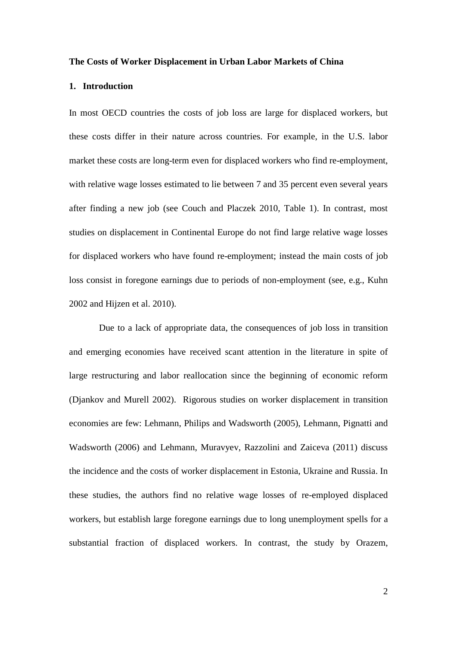### **The Costs of Worker Displacement in Urban Labor Markets of China**

### **1. Introduction**

In most OECD countries the costs of job loss are large for displaced workers, but these costs differ in their nature across countries. For example, in the U.S. labor market these costs are long-term even for displaced workers who find re-employment, with relative wage losses estimated to lie between 7 and 35 percent even several years after finding a new job (see Couch and Placzek 2010, Table 1). In contrast, most studies on displacement in Continental Europe do not find large relative wage losses for displaced workers who have found re-employment; instead the main costs of job loss consist in foregone earnings due to periods of non-employment (see, e.g., Kuhn 2002 and Hijzen et al. 2010).

Due to a lack of appropriate data, the consequences of job loss in transition and emerging economies have received scant attention in the literature in spite of large restructuring and labor reallocation since the beginning of economic reform (Djankov and Murell 2002). Rigorous studies on worker displacement in transition economies are few: Lehmann, Philips and Wadsworth (2005), Lehmann, Pignatti and Wadsworth (2006) and Lehmann, Muravyev, Razzolini and Zaiceva (2011) discuss the incidence and the costs of worker displacement in Estonia, Ukraine and Russia. In these studies, the authors find no relative wage losses of re-employed displaced workers, but establish large foregone earnings due to long unemployment spells for a substantial fraction of displaced workers. In contrast, the study by Orazem,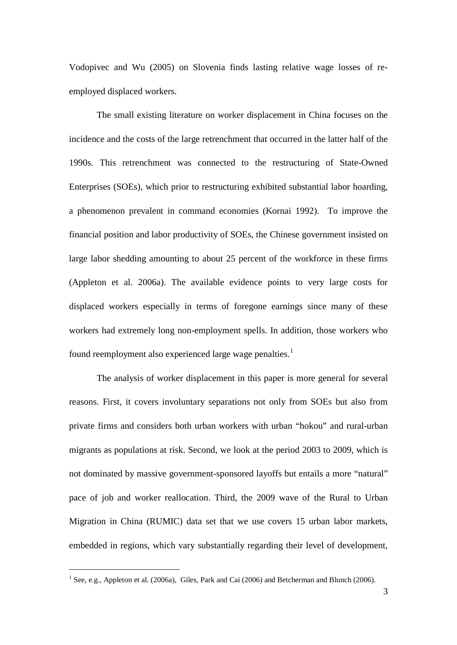Vodopivec and Wu (2005) on Slovenia finds lasting relative wage losses of reemployed displaced workers.

The small existing literature on worker displacement in China focuses on the incidence and the costs of the large retrenchment that occurred in the latter half of the 1990s. This retrenchment was connected to the restructuring of State-Owned Enterprises (SOEs), which prior to restructuring exhibited substantial labor hoarding, a phenomenon prevalent in command economies (Kornai 1992). To improve the financial position and labor productivity of SOEs, the Chinese government insisted on large labor shedding amounting to about 25 percent of the workforce in these firms (Appleton et al. 2006a). The available evidence points to very large costs for displaced workers especially in terms of foregone earnings since many of these workers had extremely long non-employment spells. In addition, those workers who found reemployment also experienced large wage penalties.<sup>[1](#page-2-0)</sup>

The analysis of worker displacement in this paper is more general for several reasons. First, it covers involuntary separations not only from SOEs but also from private firms and considers both urban workers with urban "hokou" and rural-urban migrants as populations at risk. Second, we look at the period 2003 to 2009, which is not dominated by massive government-sponsored layoffs but entails a more "natural" pace of job and worker reallocation. Third, the 2009 wave of the Rural to Urban Migration in China (RUMIC) data set that we use covers 15 urban labor markets, embedded in regions, which vary substantially regarding their level of development,

<span id="page-2-0"></span><sup>&</sup>lt;sup>1</sup> See, e.g., Appleton et al. (2006a), Giles, Park and Cai (2006) and Betcherman and Blunch (2006).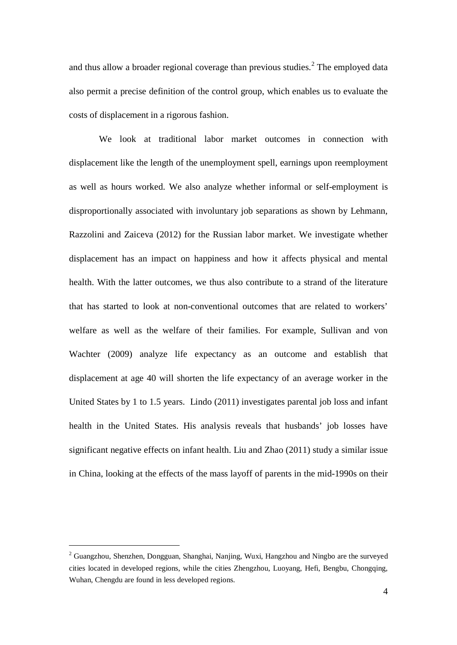and thus allow a broader regional coverage than previous studies.<sup>[2](#page-3-0)</sup> The employed data also permit a precise definition of the control group, which enables us to evaluate the costs of displacement in a rigorous fashion.

We look at traditional labor market outcomes in connection with displacement like the length of the unemployment spell, earnings upon reemployment as well as hours worked. We also analyze whether informal or self-employment is disproportionally associated with involuntary job separations as shown by Lehmann, Razzolini and Zaiceva (2012) for the Russian labor market. We investigate whether displacement has an impact on happiness and how it affects physical and mental health. With the latter outcomes, we thus also contribute to a strand of the literature that has started to look at non-conventional outcomes that are related to workers' welfare as well as the welfare of their families. For example, Sullivan and von Wachter (2009) analyze life expectancy as an outcome and establish that displacement at age 40 will shorten the life expectancy of an average worker in the United States by 1 to 1.5 years. Lindo (2011) investigates parental job loss and infant health in the United States. His analysis reveals that husbands' job losses have significant negative effects on infant health. Liu and Zhao (2011) study a similar issue in China, looking at the effects of the mass layoff of parents in the mid-1990s on their

<span id="page-3-0"></span><sup>&</sup>lt;sup>2</sup> Guangzhou, Shenzhen, Dongguan, Shanghai, Nanjing, Wuxi, Hangzhou and Ningbo are the surveyed cities located in developed regions, while the cities Zhengzhou, Luoyang, Hefi, Bengbu, Chongqing, Wuhan, Chengdu are found in less developed regions.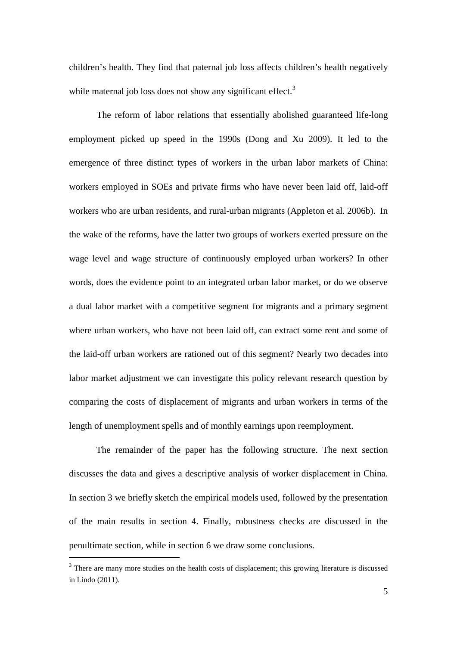children's health. They find that paternal job loss affects children's health negatively while maternal job loss does not show any significant effect.<sup>[3](#page-4-0)</sup>

The reform of labor relations that essentially abolished guaranteed life-long employment picked up speed in the 1990s (Dong and Xu 2009). It led to the emergence of three distinct types of workers in the urban labor markets of China: workers employed in SOEs and private firms who have never been laid off, laid-off workers who are urban residents, and rural-urban migrants (Appleton et al. 2006b). In the wake of the reforms, have the latter two groups of workers exerted pressure on the wage level and wage structure of continuously employed urban workers? In other words, does the evidence point to an integrated urban labor market, or do we observe a dual labor market with a competitive segment for migrants and a primary segment where urban workers, who have not been laid off, can extract some rent and some of the laid-off urban workers are rationed out of this segment? Nearly two decades into labor market adjustment we can investigate this policy relevant research question by comparing the costs of displacement of migrants and urban workers in terms of the length of unemployment spells and of monthly earnings upon reemployment.

The remainder of the paper has the following structure. The next section discusses the data and gives a descriptive analysis of worker displacement in China. In section 3 we briefly sketch the empirical models used, followed by the presentation of the main results in section 4. Finally, robustness checks are discussed in the penultimate section, while in section 6 we draw some conclusions.

<span id="page-4-0"></span><sup>&</sup>lt;sup>3</sup> There are many more studies on the health costs of displacement; this growing literature is discussed in Lindo (2011).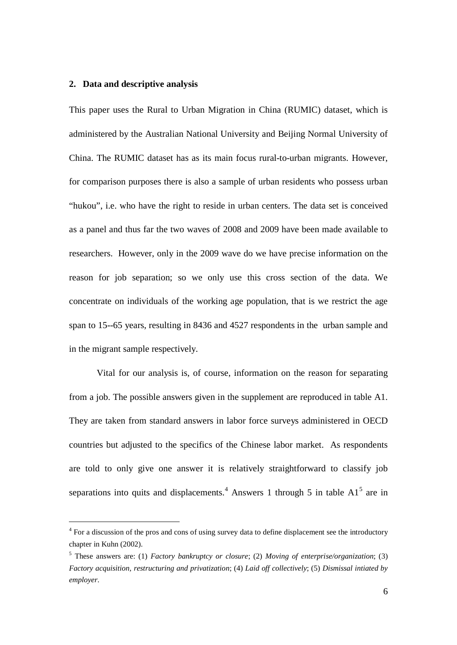### **2. Data and descriptive analysis**

This paper uses the Rural to Urban Migration in China (RUMIC) dataset, which is administered by the Australian National University and Beijing Normal University of China. The RUMIC dataset has as its main focus rural-to-urban migrants. However, for comparison purposes there is also a sample of urban residents who possess urban "hukou", i.e. who have the right to reside in urban centers. The data set is conceived as a panel and thus far the two waves of 2008 and 2009 have been made available to researchers. However, only in the 2009 wave do we have precise information on the reason for job separation; so we only use this cross section of the data. We concentrate on individuals of the working age population, that is we restrict the age span to 15--65 years, resulting in 8436 and 4527 respondents in the urban sample and in the migrant sample respectively.

Vital for our analysis is, of course, information on the reason for separating from a job. The possible answers given in the supplement are reproduced in table A1. They are taken from standard answers in labor force surveys administered in OECD countries but adjusted to the specifics of the Chinese labor market. As respondents are told to only give one answer it is relatively straightforward to classify job separations into quits and displacements.<sup>[4](#page-5-0)</sup> Answers 1 through [5](#page-5-1) in table  $A1<sup>5</sup>$  are in

<span id="page-5-0"></span><sup>&</sup>lt;sup>4</sup> For a discussion of the pros and cons of using survey data to define displacement see the introductory chapter in Kuhn (2002).

<span id="page-5-1"></span><sup>5</sup> These answers are: (1) *Factory bankruptcy or closure*; (2) *Moving of enterprise/organization*; (3) *Factory acquisition, restructuring and privatization*; (4) *Laid off collectively*; (5) *Dismissal intiated by employer*.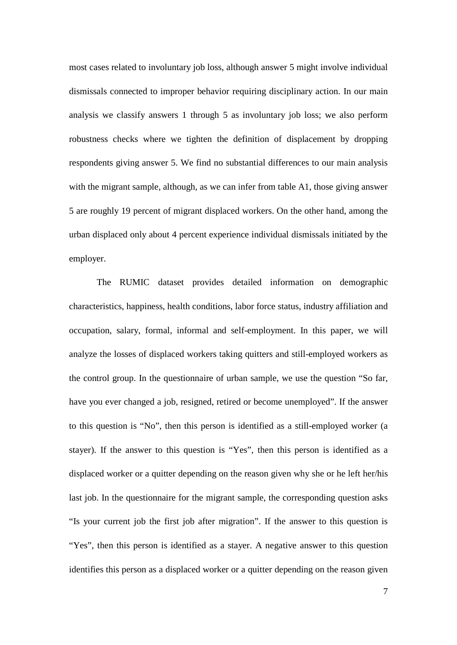most cases related to involuntary job loss, although answer 5 might involve individual dismissals connected to improper behavior requiring disciplinary action. In our main analysis we classify answers 1 through 5 as involuntary job loss; we also perform robustness checks where we tighten the definition of displacement by dropping respondents giving answer 5. We find no substantial differences to our main analysis with the migrant sample, although, as we can infer from table A1, those giving answer 5 are roughly 19 percent of migrant displaced workers. On the other hand, among the urban displaced only about 4 percent experience individual dismissals initiated by the employer.

The RUMIC dataset provides detailed information on demographic characteristics, happiness, health conditions, labor force status, industry affiliation and occupation, salary, formal, informal and self-employment. In this paper, we will analyze the losses of displaced workers taking quitters and still-employed workers as the control group. In the questionnaire of urban sample, we use the question "So far, have you ever changed a job, resigned, retired or become unemployed". If the answer to this question is "No", then this person is identified as a still-employed worker (a stayer). If the answer to this question is "Yes", then this person is identified as a displaced worker or a quitter depending on the reason given why she or he left her/his last job. In the questionnaire for the migrant sample, the corresponding question asks "Is your current job the first job after migration". If the answer to this question is "Yes", then this person is identified as a stayer. A negative answer to this question identifies this person as a displaced worker or a quitter depending on the reason given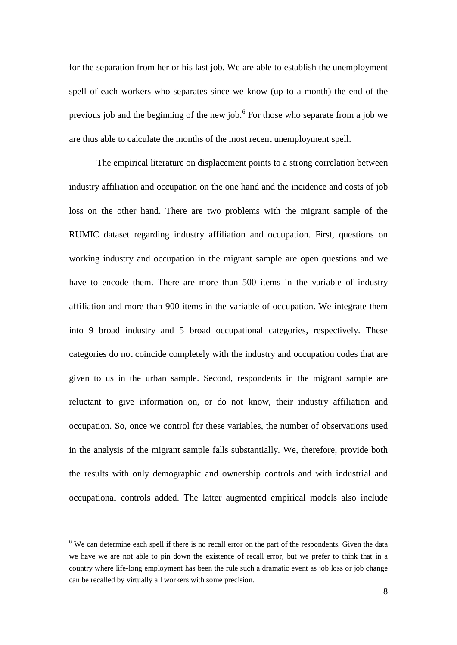for the separation from her or his last job. We are able to establish the unemployment spell of each workers who separates since we know (up to a month) the end of the previous job and the beginning of the new job.<sup>[6](#page-7-0)</sup> For those who separate from a job we are thus able to calculate the months of the most recent unemployment spell.

The empirical literature on displacement points to a strong correlation between industry affiliation and occupation on the one hand and the incidence and costs of job loss on the other hand. There are two problems with the migrant sample of the RUMIC dataset regarding industry affiliation and occupation. First, questions on working industry and occupation in the migrant sample are open questions and we have to encode them. There are more than 500 items in the variable of industry affiliation and more than 900 items in the variable of occupation. We integrate them into 9 broad industry and 5 broad occupational categories, respectively. These categories do not coincide completely with the industry and occupation codes that are given to us in the urban sample. Second, respondents in the migrant sample are reluctant to give information on, or do not know, their industry affiliation and occupation. So, once we control for these variables, the number of observations used in the analysis of the migrant sample falls substantially. We, therefore, provide both the results with only demographic and ownership controls and with industrial and occupational controls added. The latter augmented empirical models also include

<span id="page-7-0"></span><sup>&</sup>lt;sup>6</sup> We can determine each spell if there is no recall error on the part of the respondents. Given the data we have we are not able to pin down the existence of recall error, but we prefer to think that in a country where life-long employment has been the rule such a dramatic event as job loss or job change can be recalled by virtually all workers with some precision.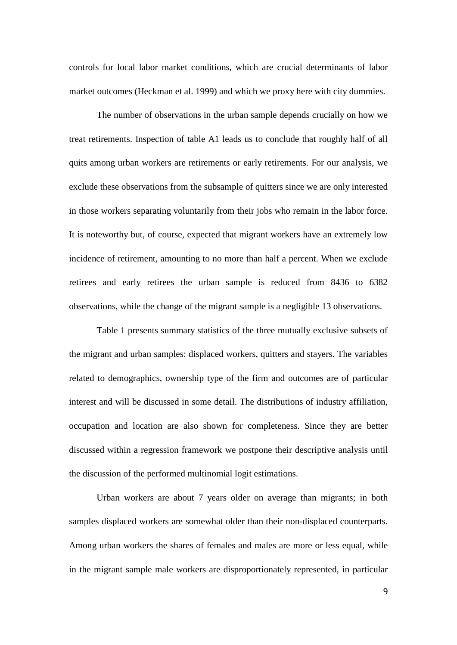controls for local labor market conditions, which are crucial determinants of labor market outcomes (Heckman et al. 1999) and which we proxy here with city dummies.

The number of observations in the urban sample depends crucially on how we treat retirements. Inspection of table A1 leads us to conclude that roughly half of all quits among urban workers are retirements or early retirements. For our analysis, we exclude these observations from the subsample of quitters since we are only interested in those workers separating voluntarily from their jobs who remain in the labor force. It is noteworthy but, of course, expected that migrant workers have an extremely low incidence of retirement, amounting to no more than half a percent. When we exclude retirees and early retirees the urban sample is reduced from 8436 to 6382 observations, while the change of the migrant sample is a negligible 13 observations.

Table 1 presents summary statistics of the three mutually exclusive subsets of the migrant and urban samples: displaced workers, quitters and stayers. The variables related to demographics, ownership type of the firm and outcomes are of particular interest and will be discussed in some detail. The distributions of industry affiliation, occupation and location are also shown for completeness. Since they are better discussed within a regression framework we postpone their descriptive analysis until the discussion of the performed multinomial logit estimations.

Urban workers are about 7 years older on average than migrants; in both samples displaced workers are somewhat older than their non-displaced counterparts. Among urban workers the shares of females and males are more or less equal, while in the migrant sample male workers are disproportionately represented, in particular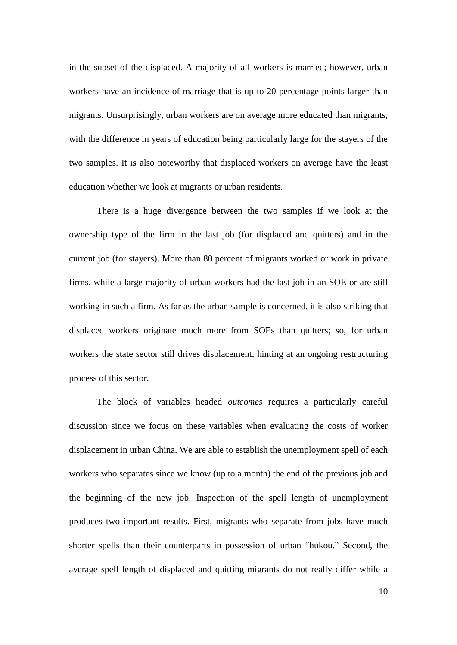in the subset of the displaced. A majority of all workers is married; however, urban workers have an incidence of marriage that is up to 20 percentage points larger than migrants. Unsurprisingly, urban workers are on average more educated than migrants, with the difference in years of education being particularly large for the stayers of the two samples. It is also noteworthy that displaced workers on average have the least education whether we look at migrants or urban residents.

There is a huge divergence between the two samples if we look at the ownership type of the firm in the last job (for displaced and quitters) and in the current job (for stayers). More than 80 percent of migrants worked or work in private firms, while a large majority of urban workers had the last job in an SOE or are still working in such a firm. As far as the urban sample is concerned, it is also striking that displaced workers originate much more from SOEs than quitters; so, for urban workers the state sector still drives displacement, hinting at an ongoing restructuring process of this sector.

The block of variables headed *outcomes* requires a particularly careful discussion since we focus on these variables when evaluating the costs of worker displacement in urban China. We are able to establish the unemployment spell of each workers who separates since we know (up to a month) the end of the previous job and the beginning of the new job. Inspection of the spell length of unemployment produces two important results. First, migrants who separate from jobs have much shorter spells than their counterparts in possession of urban "hukou." Second, the average spell length of displaced and quitting migrants do not really differ while a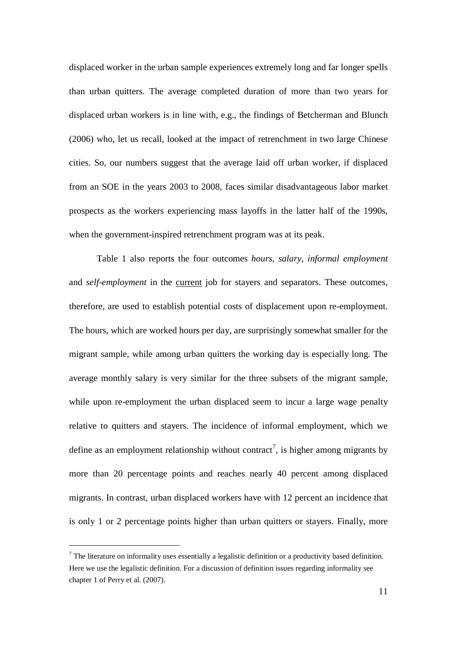displaced worker in the urban sample experiences extremely long and far longer spells than urban quitters. The average completed duration of more than two years for displaced urban workers is in line with, e.g., the findings of Betcherman and Blunch (2006) who, let us recall, looked at the impact of retrenchment in two large Chinese cities. So, our numbers suggest that the average laid off urban worker, if displaced from an SOE in the years 2003 to 2008, faces similar disadvantageous labor market prospects as the workers experiencing mass layoffs in the latter half of the 1990s, when the government-inspired retrenchment program was at its peak.

Table 1 also reports the four outcomes *hours*, *salary*, *informal employment* and *self-employment* in the current job for stayers and separators. These outcomes, therefore, are used to establish potential costs of displacement upon re-employment. The hours, which are worked hours per day, are surprisingly somewhat smaller for the migrant sample, while among urban quitters the working day is especially long. The average monthly salary is very similar for the three subsets of the migrant sample, while upon re-employment the urban displaced seem to incur a large wage penalty relative to quitters and stayers. The incidence of informal employment, which we define as an employment relationship without contract<sup>[7](#page-10-0)</sup>, is higher among migrants by more than 20 percentage points and reaches nearly 40 percent among displaced migrants. In contrast, urban displaced workers have with 12 percent an incidence that is only 1 or 2 percentage points higher than urban quitters or stayers. Finally, more

<span id="page-10-0"></span> $<sup>7</sup>$  The literature on informality uses essentially a legalistic definition or a productivity based definition.</sup> Here we use the legalistic definition. For a discussion of definition issues regarding informality see chapter 1 of Perry et al. (2007).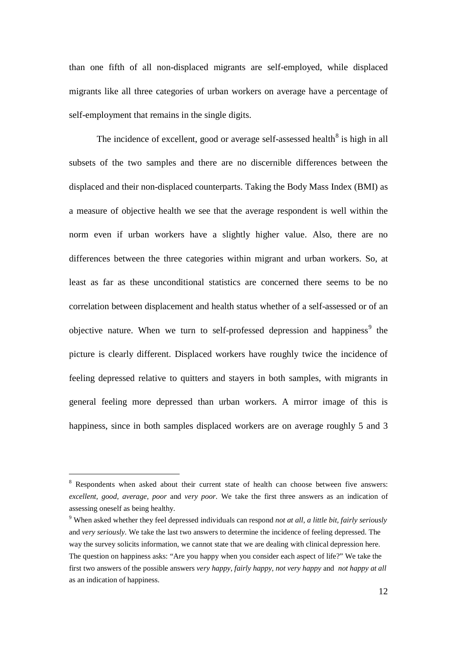than one fifth of all non-displaced migrants are self-employed, while displaced migrants like all three categories of urban workers on average have a percentage of self-employment that remains in the single digits.

The incidence of excellent, good or average self-assessed health<sup>[8](#page-11-0)</sup> is high in all subsets of the two samples and there are no discernible differences between the displaced and their non-displaced counterparts. Taking the Body Mass Index (BMI) as a measure of objective health we see that the average respondent is well within the norm even if urban workers have a slightly higher value. Also, there are no differences between the three categories within migrant and urban workers. So, at least as far as these unconditional statistics are concerned there seems to be no correlation between displacement and health status whether of a self-assessed or of an objective nature. When we turn to self-professed depression and happiness<sup>[9](#page-11-1)</sup> the picture is clearly different. Displaced workers have roughly twice the incidence of feeling depressed relative to quitters and stayers in both samples, with migrants in general feeling more depressed than urban workers. A mirror image of this is happiness, since in both samples displaced workers are on average roughly 5 and 3

<span id="page-11-0"></span><sup>&</sup>lt;sup>8</sup> Respondents when asked about their current state of health can choose between five answers: *excellent, good, average, poor* and *very poor*. We take the first three answers as an indication of assessing oneself as being healthy.

<span id="page-11-1"></span><sup>9</sup> When asked whether they feel depressed individuals can respond *not at all, a little bit, fairly seriously* and *very seriously*. We take the last two answers to determine the incidence of feeling depressed. The way the survey solicits information, we cannot state that we are dealing with clinical depression here. The question on happiness asks: "Are you happy when you consider each aspect of life?" We take the first two answers of the possible answers *very happy, fairly happy, not very happy* and *not happy at all* as an indication of happiness.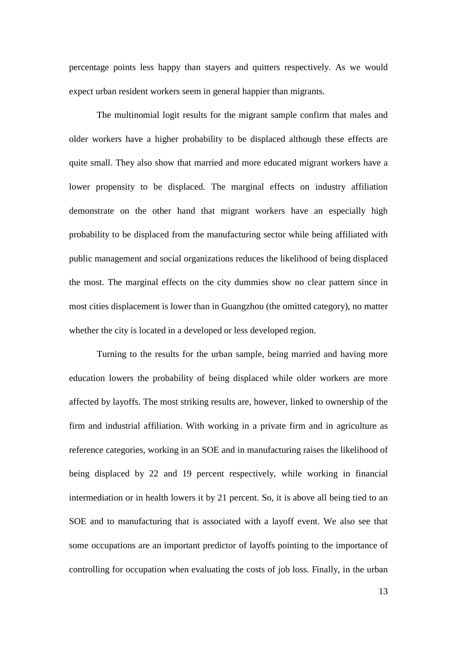percentage points less happy than stayers and quitters respectively. As we would expect urban resident workers seem in general happier than migrants.

The multinomial logit results for the migrant sample confirm that males and older workers have a higher probability to be displaced although these effects are quite small. They also show that married and more educated migrant workers have a lower propensity to be displaced. The marginal effects on industry affiliation demonstrate on the other hand that migrant workers have an especially high probability to be displaced from the manufacturing sector while being affiliated with public management and social organizations reduces the likelihood of being displaced the most. The marginal effects on the city dummies show no clear pattern since in most cities displacement is lower than in Guangzhou (the omitted category), no matter whether the city is located in a developed or less developed region.

Turning to the results for the urban sample, being married and having more education lowers the probability of being displaced while older workers are more affected by layoffs. The most striking results are, however, linked to ownership of the firm and industrial affiliation. With working in a private firm and in agriculture as reference categories, working in an SOE and in manufacturing raises the likelihood of being displaced by 22 and 19 percent respectively, while working in financial intermediation or in health lowers it by 21 percent. So, it is above all being tied to an SOE and to manufacturing that is associated with a layoff event. We also see that some occupations are an important predictor of layoffs pointing to the importance of controlling for occupation when evaluating the costs of job loss. Finally, in the urban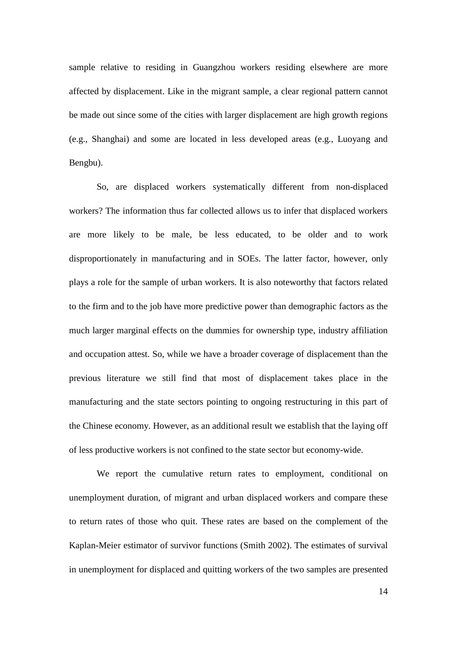sample relative to residing in Guangzhou workers residing elsewhere are more affected by displacement. Like in the migrant sample, a clear regional pattern cannot be made out since some of the cities with larger displacement are high growth regions (e.g., Shanghai) and some are located in less developed areas (e.g., Luoyang and Bengbu).

So, are displaced workers systematically different from non-displaced workers? The information thus far collected allows us to infer that displaced workers are more likely to be male, be less educated, to be older and to work disproportionately in manufacturing and in SOEs. The latter factor, however, only plays a role for the sample of urban workers. It is also noteworthy that factors related to the firm and to the job have more predictive power than demographic factors as the much larger marginal effects on the dummies for ownership type, industry affiliation and occupation attest. So, while we have a broader coverage of displacement than the previous literature we still find that most of displacement takes place in the manufacturing and the state sectors pointing to ongoing restructuring in this part of the Chinese economy. However, as an additional result we establish that the laying off of less productive workers is not confined to the state sector but economy-wide.

We report the cumulative return rates to employment, conditional on unemployment duration, of migrant and urban displaced workers and compare these to return rates of those who quit. These rates are based on the complement of the Kaplan-Meier estimator of survivor functions (Smith 2002). The estimates of survival in unemployment for displaced and quitting workers of the two samples are presented

14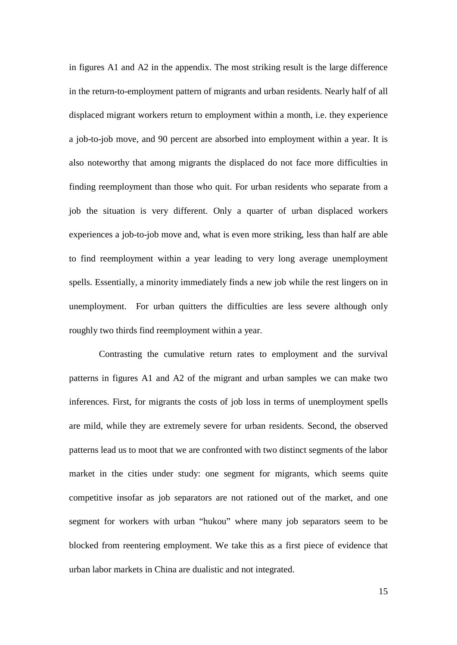in figures A1 and A2 in the appendix. The most striking result is the large difference in the return-to-employment pattern of migrants and urban residents. Nearly half of all displaced migrant workers return to employment within a month, i.e. they experience a job-to-job move, and 90 percent are absorbed into employment within a year. It is also noteworthy that among migrants the displaced do not face more difficulties in finding reemployment than those who quit. For urban residents who separate from a job the situation is very different. Only a quarter of urban displaced workers experiences a job-to-job move and, what is even more striking, less than half are able to find reemployment within a year leading to very long average unemployment spells. Essentially, a minority immediately finds a new job while the rest lingers on in unemployment. For urban quitters the difficulties are less severe although only roughly two thirds find reemployment within a year.

Contrasting the cumulative return rates to employment and the survival patterns in figures A1 and A2 of the migrant and urban samples we can make two inferences. First, for migrants the costs of job loss in terms of unemployment spells are mild, while they are extremely severe for urban residents. Second, the observed patterns lead us to moot that we are confronted with two distinct segments of the labor market in the cities under study: one segment for migrants, which seems quite competitive insofar as job separators are not rationed out of the market, and one segment for workers with urban "hukou" where many job separators seem to be blocked from reentering employment. We take this as a first piece of evidence that urban labor markets in China are dualistic and not integrated.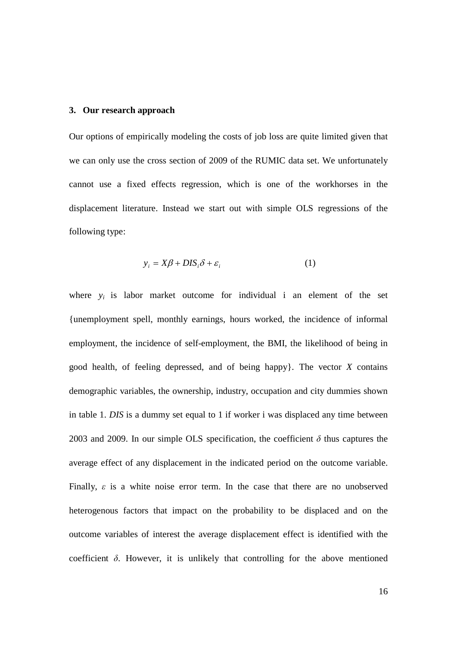### **3. Our research approach**

Our options of empirically modeling the costs of job loss are quite limited given that we can only use the cross section of 2009 of the RUMIC data set. We unfortunately cannot use a fixed effects regression, which is one of the workhorses in the displacement literature. Instead we start out with simple OLS regressions of the following type:

$$
y_i = X\beta + DIS_i\delta + \varepsilon_i \tag{1}
$$

where  $y_i$  is labor market outcome for individual i an element of the set {unemployment spell, monthly earnings, hours worked, the incidence of informal employment, the incidence of self-employment, the BMI, the likelihood of being in good health, of feeling depressed, and of being happy}. The vector *X* contains demographic variables, the ownership, industry, occupation and city dummies shown in table 1. *DIS* is a dummy set equal to 1 if worker i was displaced any time between 2003 and 2009. In our simple OLS specification, the coefficient  $\delta$  thus captures the average effect of any displacement in the indicated period on the outcome variable. Finally,  $\varepsilon$  is a white noise error term. In the case that there are no unobserved heterogenous factors that impact on the probability to be displaced and on the outcome variables of interest the average displacement effect is identified with the coefficient  $\delta$ . However, it is unlikely that controlling for the above mentioned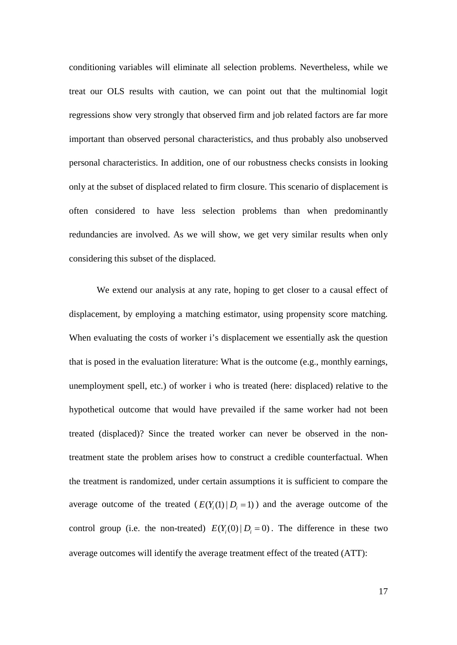conditioning variables will eliminate all selection problems. Nevertheless, while we treat our OLS results with caution, we can point out that the multinomial logit regressions show very strongly that observed firm and job related factors are far more important than observed personal characteristics, and thus probably also unobserved personal characteristics. In addition, one of our robustness checks consists in looking only at the subset of displaced related to firm closure. This scenario of displacement is often considered to have less selection problems than when predominantly redundancies are involved. As we will show, we get very similar results when only considering this subset of the displaced.

We extend our analysis at any rate, hoping to get closer to a causal effect of displacement, by employing a matching estimator, using propensity score matching. When evaluating the costs of worker i's displacement we essentially ask the question that is posed in the evaluation literature: What is the outcome (e.g., monthly earnings, unemployment spell, etc.) of worker i who is treated (here: displaced) relative to the hypothetical outcome that would have prevailed if the same worker had not been treated (displaced)? Since the treated worker can never be observed in the nontreatment state the problem arises how to construct a credible counterfactual. When the treatment is randomized, under certain assumptions it is sufficient to compare the average outcome of the treated  $(E(Y<sub>i</sub>(1) | D<sub>i</sub> = 1))$  and the average outcome of the control group (i.e. the non-treated)  $E(Y<sub>i</sub>(0) | D<sub>i</sub> = 0)$ . The difference in these two average outcomes will identify the average treatment effect of the treated (ATT):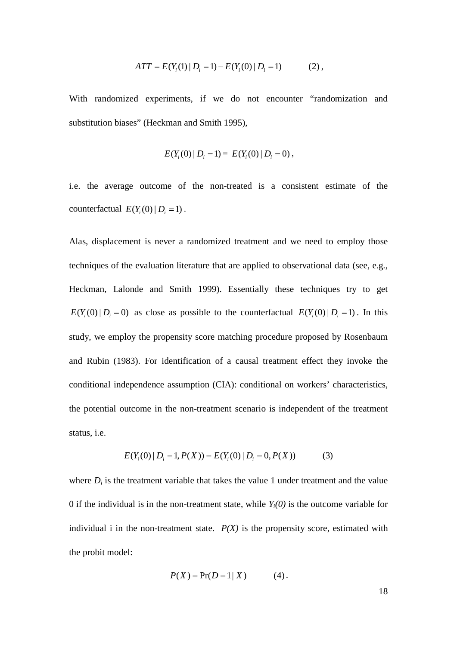$$
ATT = E(Yi(1) | Di = 1) - E(Yi(0) | Di = 1)
$$
 (2),

With randomized experiments, if we do not encounter "randomization and substitution biases" (Heckman and Smith 1995),

$$
E(Y_i(0) | D_i = 1) = E(Y_i(0) | D_i = 0),
$$

i.e. the average outcome of the non-treated is a consistent estimate of the counterfactual  $E(Y_i(0) | D_i = 1)$ .

Alas, displacement is never a randomized treatment and we need to employ those techniques of the evaluation literature that are applied to observational data (see, e.g., Heckman, Lalonde and Smith 1999). Essentially these techniques try to get  $E(Y_i(0) | D_i = 0)$  as close as possible to the counterfactual  $E(Y_i(0) | D_i = 1)$ . In this study, we employ the propensity score matching procedure proposed by Rosenbaum and Rubin (1983). For identification of a causal treatment effect they invoke the conditional independence assumption (CIA): conditional on workers' characteristics, the potential outcome in the non-treatment scenario is independent of the treatment status, i.e.

$$
E(Y_i(0) | D_i = 1, P(X)) = E(Y_i(0) | D_i = 0, P(X))
$$
\n(3)

where  $D_i$  is the treatment variable that takes the value 1 under treatment and the value 0 if the individual is in the non-treatment state, while  $Y_i(0)$  is the outcome variable for individual i in the non-treatment state.  $P(X)$  is the propensity score, estimated with the probit model:

$$
P(X) = Pr(D = 1 | X)
$$
 (4).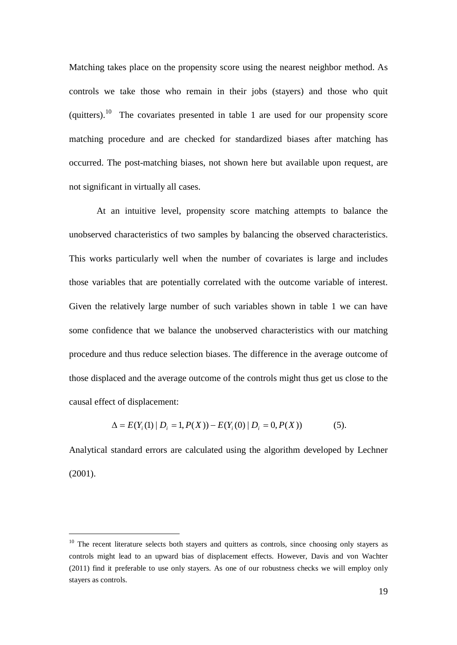Matching takes place on the propensity score using the nearest neighbor method. As controls we take those who remain in their jobs (stayers) and those who quit (quitters).<sup>[10](#page-18-0)</sup> The covariates presented in table 1 are used for our propensity score matching procedure and are checked for standardized biases after matching has occurred. The post-matching biases, not shown here but available upon request, are not significant in virtually all cases.

At an intuitive level, propensity score matching attempts to balance the unobserved characteristics of two samples by balancing the observed characteristics. This works particularly well when the number of covariates is large and includes those variables that are potentially correlated with the outcome variable of interest. Given the relatively large number of such variables shown in table 1 we can have some confidence that we balance the unobserved characteristics with our matching procedure and thus reduce selection biases. The difference in the average outcome of those displaced and the average outcome of the controls might thus get us close to the causal effect of displacement:

$$
\Delta = E(Y_i(1) | D_i = 1, P(X)) - E(Y_i(0) | D_i = 0, P(X))
$$
\n(5).

Analytical standard errors are calculated using the algorithm developed by Lechner (2001).

<span id="page-18-0"></span><sup>&</sup>lt;sup>10</sup> The recent literature selects both stayers and quitters as controls, since choosing only stayers as controls might lead to an upward bias of displacement effects. However, Davis and von Wachter (2011) find it preferable to use only stayers. As one of our robustness checks we will employ only stayers as controls.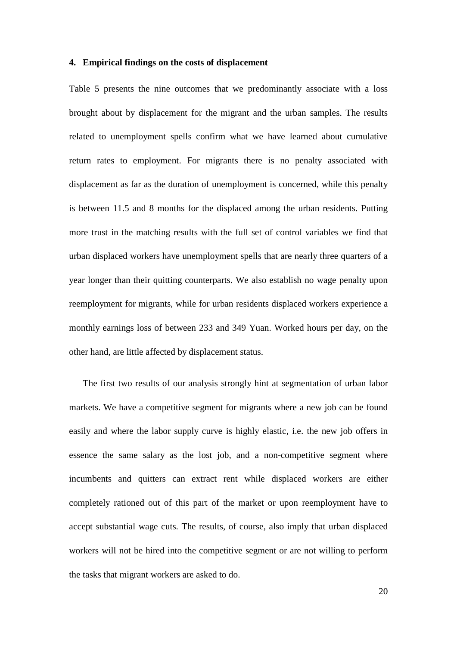### **4. Empirical findings on the costs of displacement**

Table 5 presents the nine outcomes that we predominantly associate with a loss brought about by displacement for the migrant and the urban samples. The results related to unemployment spells confirm what we have learned about cumulative return rates to employment. For migrants there is no penalty associated with displacement as far as the duration of unemployment is concerned, while this penalty is between 11.5 and 8 months for the displaced among the urban residents. Putting more trust in the matching results with the full set of control variables we find that urban displaced workers have unemployment spells that are nearly three quarters of a year longer than their quitting counterparts. We also establish no wage penalty upon reemployment for migrants, while for urban residents displaced workers experience a monthly earnings loss of between 233 and 349 Yuan. Worked hours per day, on the other hand, are little affected by displacement status.

The first two results of our analysis strongly hint at segmentation of urban labor markets. We have a competitive segment for migrants where a new job can be found easily and where the labor supply curve is highly elastic, i.e. the new job offers in essence the same salary as the lost job, and a non-competitive segment where incumbents and quitters can extract rent while displaced workers are either completely rationed out of this part of the market or upon reemployment have to accept substantial wage cuts. The results, of course, also imply that urban displaced workers will not be hired into the competitive segment or are not willing to perform the tasks that migrant workers are asked to do.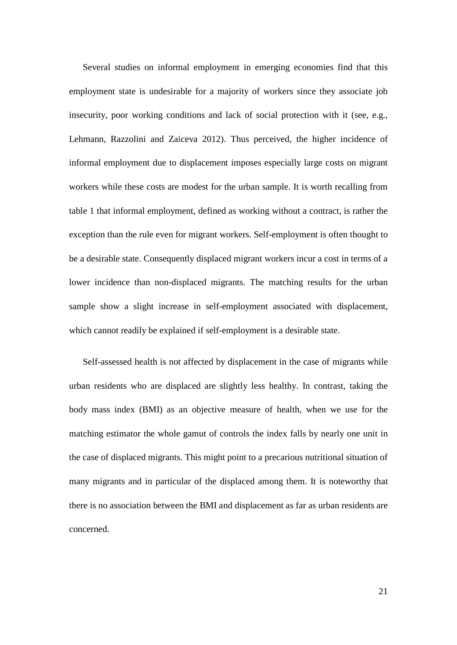Several studies on informal employment in emerging economies find that this employment state is undesirable for a majority of workers since they associate job insecurity, poor working conditions and lack of social protection with it (see, e.g., Lehmann, Razzolini and Zaiceva 2012). Thus perceived, the higher incidence of informal employment due to displacement imposes especially large costs on migrant workers while these costs are modest for the urban sample. It is worth recalling from table 1 that informal employment, defined as working without a contract, is rather the exception than the rule even for migrant workers. Self-employment is often thought to be a desirable state. Consequently displaced migrant workers incur a cost in terms of a lower incidence than non-displaced migrants. The matching results for the urban sample show a slight increase in self-employment associated with displacement, which cannot readily be explained if self-employment is a desirable state.

Self-assessed health is not affected by displacement in the case of migrants while urban residents who are displaced are slightly less healthy. In contrast, taking the body mass index (BMI) as an objective measure of health, when we use for the matching estimator the whole gamut of controls the index falls by nearly one unit in the case of displaced migrants. This might point to a precarious nutritional situation of many migrants and in particular of the displaced among them. It is noteworthy that there is no association between the BMI and displacement as far as urban residents are concerned.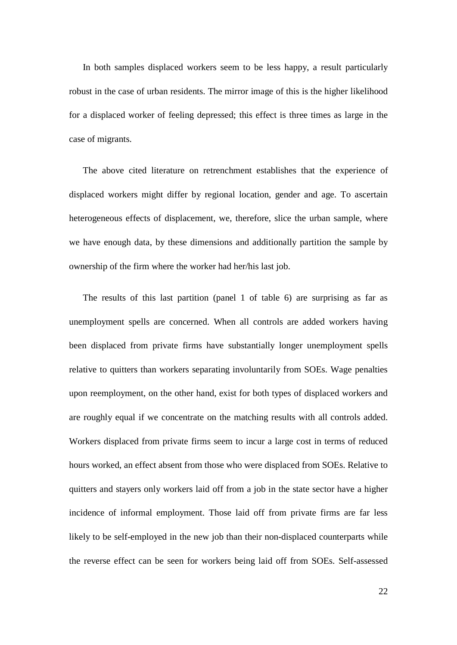In both samples displaced workers seem to be less happy, a result particularly robust in the case of urban residents. The mirror image of this is the higher likelihood for a displaced worker of feeling depressed; this effect is three times as large in the case of migrants.

The above cited literature on retrenchment establishes that the experience of displaced workers might differ by regional location, gender and age. To ascertain heterogeneous effects of displacement, we, therefore, slice the urban sample, where we have enough data, by these dimensions and additionally partition the sample by ownership of the firm where the worker had her/his last job.

The results of this last partition (panel 1 of table 6) are surprising as far as unemployment spells are concerned. When all controls are added workers having been displaced from private firms have substantially longer unemployment spells relative to quitters than workers separating involuntarily from SOEs. Wage penalties upon reemployment, on the other hand, exist for both types of displaced workers and are roughly equal if we concentrate on the matching results with all controls added. Workers displaced from private firms seem to incur a large cost in terms of reduced hours worked, an effect absent from those who were displaced from SOEs. Relative to quitters and stayers only workers laid off from a job in the state sector have a higher incidence of informal employment. Those laid off from private firms are far less likely to be self-employed in the new job than their non-displaced counterparts while the reverse effect can be seen for workers being laid off from SOEs. Self-assessed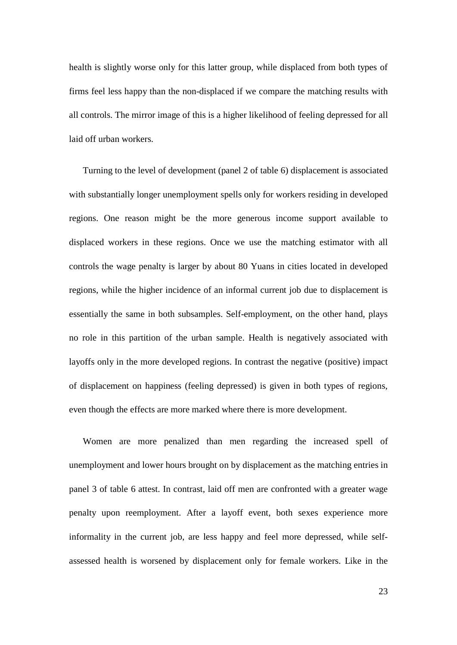health is slightly worse only for this latter group, while displaced from both types of firms feel less happy than the non-displaced if we compare the matching results with all controls. The mirror image of this is a higher likelihood of feeling depressed for all laid off urban workers.

Turning to the level of development (panel 2 of table 6) displacement is associated with substantially longer unemployment spells only for workers residing in developed regions. One reason might be the more generous income support available to displaced workers in these regions. Once we use the matching estimator with all controls the wage penalty is larger by about 80 Yuans in cities located in developed regions, while the higher incidence of an informal current job due to displacement is essentially the same in both subsamples. Self-employment, on the other hand, plays no role in this partition of the urban sample. Health is negatively associated with layoffs only in the more developed regions. In contrast the negative (positive) impact of displacement on happiness (feeling depressed) is given in both types of regions, even though the effects are more marked where there is more development.

Women are more penalized than men regarding the increased spell of unemployment and lower hours brought on by displacement as the matching entries in panel 3 of table 6 attest. In contrast, laid off men are confronted with a greater wage penalty upon reemployment. After a layoff event, both sexes experience more informality in the current job, are less happy and feel more depressed, while selfassessed health is worsened by displacement only for female workers. Like in the

23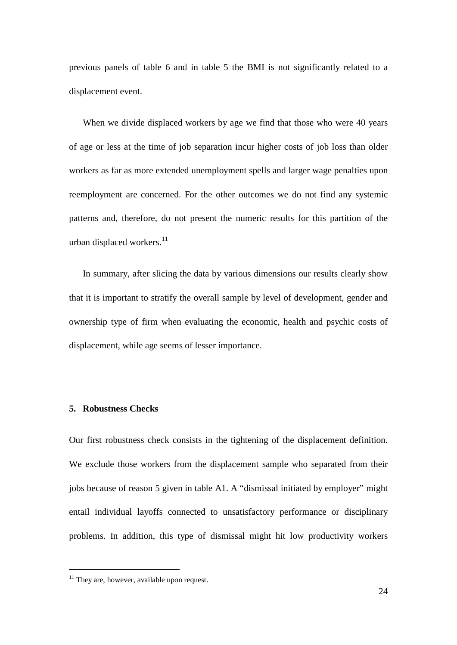previous panels of table 6 and in table 5 the BMI is not significantly related to a displacement event.

When we divide displaced workers by age we find that those who were 40 years of age or less at the time of job separation incur higher costs of job loss than older workers as far as more extended unemployment spells and larger wage penalties upon reemployment are concerned. For the other outcomes we do not find any systemic patterns and, therefore, do not present the numeric results for this partition of the urban displaced workers. $^{11}$  $^{11}$  $^{11}$ 

In summary, after slicing the data by various dimensions our results clearly show that it is important to stratify the overall sample by level of development, gender and ownership type of firm when evaluating the economic, health and psychic costs of displacement, while age seems of lesser importance.

### **5. Robustness Checks**

Our first robustness check consists in the tightening of the displacement definition. We exclude those workers from the displacement sample who separated from their jobs because of reason 5 given in table A1. A "dismissal initiated by employer" might entail individual layoffs connected to unsatisfactory performance or disciplinary problems. In addition, this type of dismissal might hit low productivity workers

<span id="page-23-0"></span><sup>&</sup>lt;sup>11</sup> They are, however, available upon request.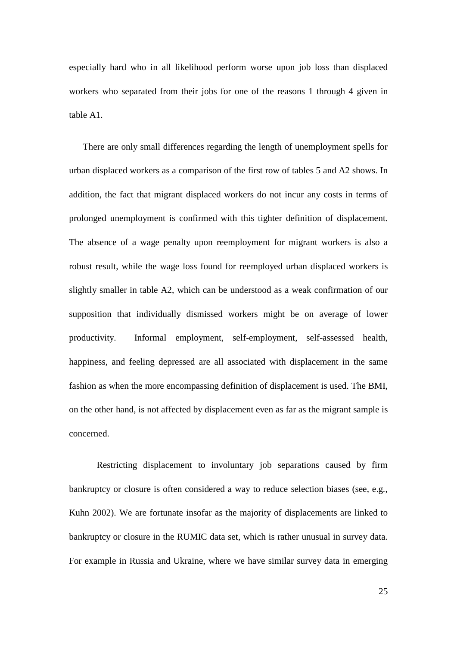especially hard who in all likelihood perform worse upon job loss than displaced workers who separated from their jobs for one of the reasons 1 through 4 given in table A1.

There are only small differences regarding the length of unemployment spells for urban displaced workers as a comparison of the first row of tables 5 and A2 shows. In addition, the fact that migrant displaced workers do not incur any costs in terms of prolonged unemployment is confirmed with this tighter definition of displacement. The absence of a wage penalty upon reemployment for migrant workers is also a robust result, while the wage loss found for reemployed urban displaced workers is slightly smaller in table A2, which can be understood as a weak confirmation of our supposition that individually dismissed workers might be on average of lower productivity. Informal employment, self-employment, self-assessed health, happiness, and feeling depressed are all associated with displacement in the same fashion as when the more encompassing definition of displacement is used. The BMI, on the other hand, is not affected by displacement even as far as the migrant sample is concerned.

Restricting displacement to involuntary job separations caused by firm bankruptcy or closure is often considered a way to reduce selection biases (see, e.g., Kuhn 2002). We are fortunate insofar as the majority of displacements are linked to bankruptcy or closure in the RUMIC data set, which is rather unusual in survey data. For example in Russia and Ukraine, where we have similar survey data in emerging

25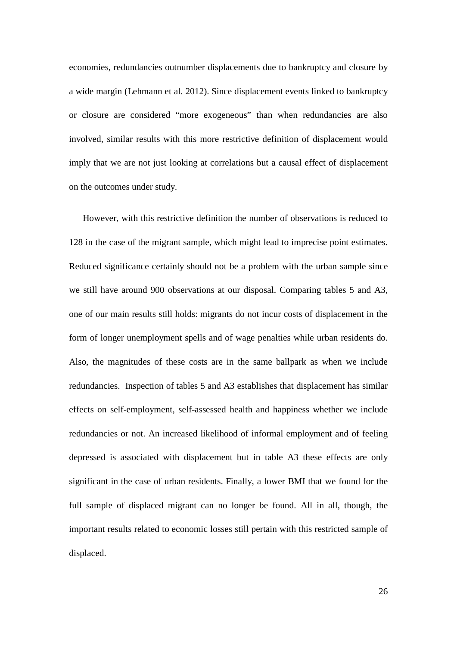economies, redundancies outnumber displacements due to bankruptcy and closure by a wide margin (Lehmann et al. 2012). Since displacement events linked to bankruptcy or closure are considered "more exogeneous" than when redundancies are also involved, similar results with this more restrictive definition of displacement would imply that we are not just looking at correlations but a causal effect of displacement on the outcomes under study.

However, with this restrictive definition the number of observations is reduced to 128 in the case of the migrant sample, which might lead to imprecise point estimates. Reduced significance certainly should not be a problem with the urban sample since we still have around 900 observations at our disposal. Comparing tables 5 and A3, one of our main results still holds: migrants do not incur costs of displacement in the form of longer unemployment spells and of wage penalties while urban residents do. Also, the magnitudes of these costs are in the same ballpark as when we include redundancies. Inspection of tables 5 and A3 establishes that displacement has similar effects on self-employment, self-assessed health and happiness whether we include redundancies or not. An increased likelihood of informal employment and of feeling depressed is associated with displacement but in table A3 these effects are only significant in the case of urban residents. Finally, a lower BMI that we found for the full sample of displaced migrant can no longer be found. All in all, though, the important results related to economic losses still pertain with this restricted sample of displaced.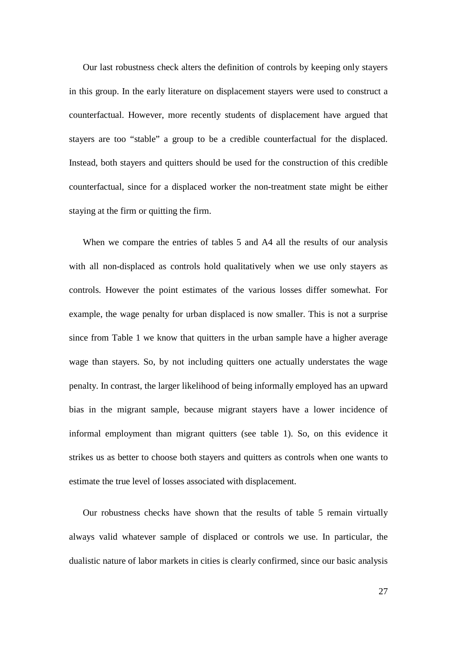Our last robustness check alters the definition of controls by keeping only stayers in this group. In the early literature on displacement stayers were used to construct a counterfactual. However, more recently students of displacement have argued that stayers are too "stable" a group to be a credible counterfactual for the displaced. Instead, both stayers and quitters should be used for the construction of this credible counterfactual, since for a displaced worker the non-treatment state might be either staying at the firm or quitting the firm.

When we compare the entries of tables 5 and A4 all the results of our analysis with all non-displaced as controls hold qualitatively when we use only stayers as controls. However the point estimates of the various losses differ somewhat. For example, the wage penalty for urban displaced is now smaller. This is not a surprise since from Table 1 we know that quitters in the urban sample have a higher average wage than stayers. So, by not including quitters one actually understates the wage penalty. In contrast, the larger likelihood of being informally employed has an upward bias in the migrant sample, because migrant stayers have a lower incidence of informal employment than migrant quitters (see table 1). So, on this evidence it strikes us as better to choose both stayers and quitters as controls when one wants to estimate the true level of losses associated with displacement.

Our robustness checks have shown that the results of table 5 remain virtually always valid whatever sample of displaced or controls we use. In particular, the dualistic nature of labor markets in cities is clearly confirmed, since our basic analysis

27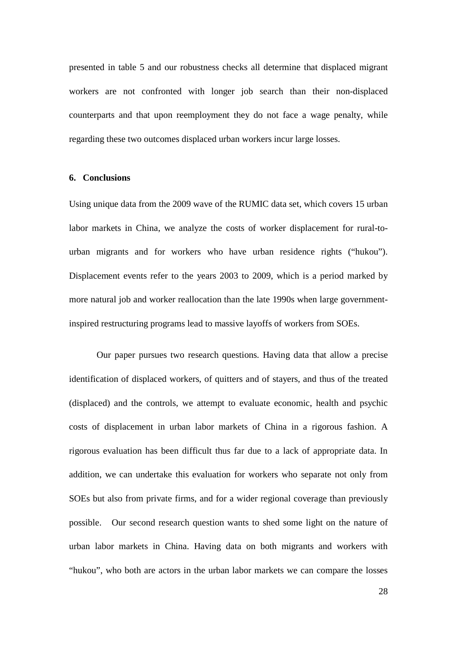presented in table 5 and our robustness checks all determine that displaced migrant workers are not confronted with longer job search than their non-displaced counterparts and that upon reemployment they do not face a wage penalty, while regarding these two outcomes displaced urban workers incur large losses.

### **6. Conclusions**

Using unique data from the 2009 wave of the RUMIC data set, which covers 15 urban labor markets in China, we analyze the costs of worker displacement for rural-tourban migrants and for workers who have urban residence rights ("hukou"). Displacement events refer to the years 2003 to 2009, which is a period marked by more natural job and worker reallocation than the late 1990s when large governmentinspired restructuring programs lead to massive layoffs of workers from SOEs.

Our paper pursues two research questions. Having data that allow a precise identification of displaced workers, of quitters and of stayers, and thus of the treated (displaced) and the controls, we attempt to evaluate economic, health and psychic costs of displacement in urban labor markets of China in a rigorous fashion. A rigorous evaluation has been difficult thus far due to a lack of appropriate data. In addition, we can undertake this evaluation for workers who separate not only from SOEs but also from private firms, and for a wider regional coverage than previously possible. Our second research question wants to shed some light on the nature of urban labor markets in China. Having data on both migrants and workers with "hukou", who both are actors in the urban labor markets we can compare the losses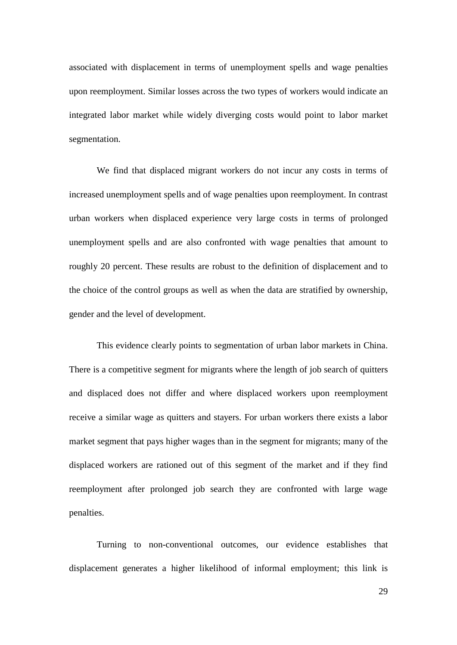associated with displacement in terms of unemployment spells and wage penalties upon reemployment. Similar losses across the two types of workers would indicate an integrated labor market while widely diverging costs would point to labor market segmentation.

We find that displaced migrant workers do not incur any costs in terms of increased unemployment spells and of wage penalties upon reemployment. In contrast urban workers when displaced experience very large costs in terms of prolonged unemployment spells and are also confronted with wage penalties that amount to roughly 20 percent. These results are robust to the definition of displacement and to the choice of the control groups as well as when the data are stratified by ownership, gender and the level of development.

This evidence clearly points to segmentation of urban labor markets in China. There is a competitive segment for migrants where the length of job search of quitters and displaced does not differ and where displaced workers upon reemployment receive a similar wage as quitters and stayers. For urban workers there exists a labor market segment that pays higher wages than in the segment for migrants; many of the displaced workers are rationed out of this segment of the market and if they find reemployment after prolonged job search they are confronted with large wage penalties.

Turning to non-conventional outcomes, our evidence establishes that displacement generates a higher likelihood of informal employment; this link is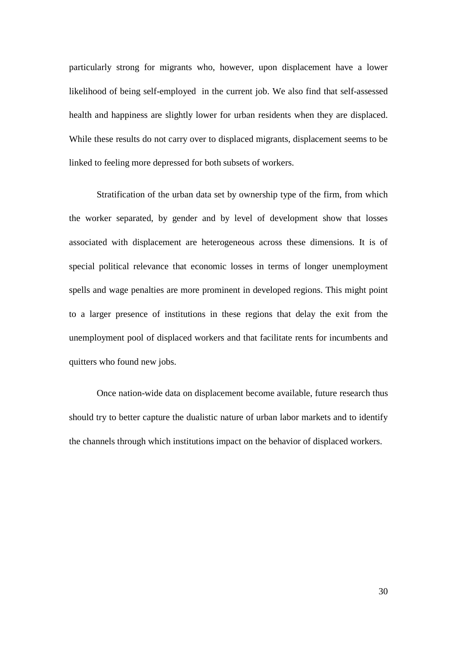particularly strong for migrants who, however, upon displacement have a lower likelihood of being self-employed in the current job. We also find that self-assessed health and happiness are slightly lower for urban residents when they are displaced. While these results do not carry over to displaced migrants, displacement seems to be linked to feeling more depressed for both subsets of workers.

Stratification of the urban data set by ownership type of the firm, from which the worker separated, by gender and by level of development show that losses associated with displacement are heterogeneous across these dimensions. It is of special political relevance that economic losses in terms of longer unemployment spells and wage penalties are more prominent in developed regions. This might point to a larger presence of institutions in these regions that delay the exit from the unemployment pool of displaced workers and that facilitate rents for incumbents and quitters who found new jobs.

Once nation-wide data on displacement become available, future research thus should try to better capture the dualistic nature of urban labor markets and to identify the channels through which institutions impact on the behavior of displaced workers.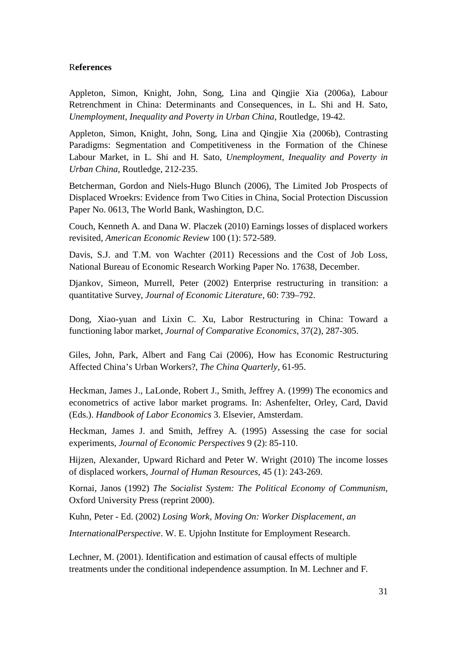### R**eferences**

Appleton, Simon, Knight, John, Song, Lina and Qingjie Xia (2006a), Labour Retrenchment in China: Determinants and Consequences, in L. Shi and H. Sato, *Unemployment, Inequality and Poverty in Urban China*, Routledge, 19-42.

Appleton, Simon, Knight, John, Song, Lina and Qingjie Xia (2006b), Contrasting Paradigms: Segmentation and Competitiveness in the Formation of the Chinese Labour Market, in L. Shi and H. Sato, *Unemployment, Inequality and Poverty in Urban China*, Routledge, 212-235.

Betcherman, Gordon and Niels-Hugo Blunch (2006), The Limited Job Prospects of Displaced Wroekrs: Evidence from Two Cities in China, Social Protection Discussion Paper No. 0613, The World Bank, Washington, D.C.

Couch, Kenneth A. and Dana W. Placzek (2010) Earnings losses of displaced workers revisited, *American Economic Review* 100 (1): 572-589.

Davis, S.J. and T.M. von Wachter (2011) Recessions and the Cost of Job Loss, National Bureau of Economic Research Working Paper No. 17638, December.

Djankov, Simeon, Murrell, Peter (2002) Enterprise restructuring in transition: a quantitative Survey, *Journal of Economic Literature*, 60: 739–792.

Dong, Xiao-yuan and Lixin C. Xu, Labor Restructuring in China: Toward a functioning labor market, *Journal of Comparative Economics*, 37(2), 287-305.

Giles, John, Park, Albert and Fang Cai (2006), How has Economic Restructuring Affected China's Urban Workers?, *The China Quarterly*, 61-95.

Heckman, James J., LaLonde, Robert J., Smith, Jeffrey A. (1999) The economics and econometrics of active labor market programs. In: Ashenfelter, Orley, Card, David (Eds.). *Handbook of Labor Economics* 3. Elsevier, Amsterdam.

Heckman, James J. and Smith, Jeffrey A. (1995) Assessing the case for social experiments, *Journal of Economic Perspectives* 9 (2): 85-110.

Hijzen, Alexander, Upward Richard and Peter W. Wright (2010) The income losses of displaced workers, *Journal of Human Resources*, 45 (1): 243-269.

Kornai, Janos (1992) *The Socialist System: The Political Economy of Communism*, Oxford University Press (reprint 2000).

Kuhn, Peter - Ed. (2002) *Losing Work, Moving On: Worker Displacement, an*

*InternationalPerspective*. W. E. Upjohn Institute for Employment Research.

Lechner, M. (2001). Identification and estimation of causal effects of multiple treatments under the conditional independence assumption. In M. Lechner and F.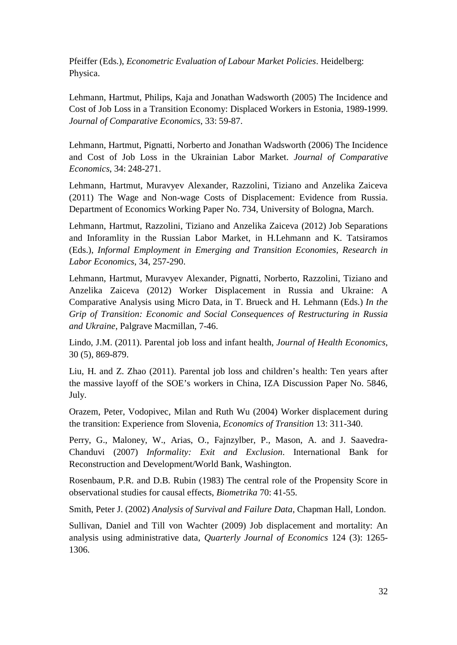Pfeiffer (Eds.), *Econometric Evaluation of Labour Market Policies*. Heidelberg: Physica.

Lehmann, Hartmut, Philips, Kaja and Jonathan Wadsworth (2005) The Incidence and Cost of Job Loss in a Transition Economy: Displaced Workers in Estonia, 1989-1999. *Journal of Comparative Economics*, 33: 59-87.

Lehmann, Hartmut, Pignatti, Norberto and Jonathan Wadsworth (2006) The Incidence and Cost of Job Loss in the Ukrainian Labor Market. *Journal of Comparative Economics*, 34: 248-271.

Lehmann, Hartmut, Muravyev Alexander, Razzolini, Tiziano and Anzelika Zaiceva (2011) The Wage and Non-wage Costs of Displacement: Evidence from Russia. Department of Economics Working Paper No. 734, University of Bologna, March.

Lehmann, Hartmut, Razzolini, Tiziano and Anzelika Zaiceva (2012) Job Separations and Inforamlity in the Russian Labor Market, in H.Lehmann and K. Tatsiramos (Eds.), *Informal Employment in Emerging and Transition Economies, Research in Labor Economics*, 34, 257-290.

Lehmann, Hartmut, Muravyev Alexander, Pignatti, Norberto, Razzolini, Tiziano and Anzelika Zaiceva (2012) Worker Displacement in Russia and Ukraine: A Comparative Analysis using Micro Data, in T. Brueck and H. Lehmann (Eds.) *In the Grip of Transition: Economic and Social Consequences of Restructuring in Russia and Ukraine*, Palgrave Macmillan, 7-46.

Lindo, J.M. (2011). Parental job loss and infant health, *Journal of Health Economics*, 30 (5), 869-879.

Liu, H. and Z. Zhao (2011). Parental job loss and children's health: Ten years after the massive layoff of the SOE's workers in China, IZA Discussion Paper No. 5846, July.

Orazem, Peter, Vodopivec, Milan and Ruth Wu (2004) Worker displacement during the transition: Experience from Slovenia, *Economics of Transition* 13: 311-340.

Perry, G., Maloney, W., Arias, O., Fajnzylber, P., Mason, A. and J. Saavedra-Chanduvi (2007) *Informality: Exit and Exclusion*. International Bank for Reconstruction and Development/World Bank, Washington.

Rosenbaum, P.R. and D.B. Rubin (1983) The central role of the Propensity Score in observational studies for causal effects, *Biometrika* 70: 41-55.

Smith, Peter J. (2002) *Analysis of Survival and Failure Data*, Chapman Hall, London.

Sullivan, Daniel and Till von Wachter (2009) Job displacement and mortality: An analysis using administrative data, *Quarterly Journal of Economics* 124 (3): 1265- 1306.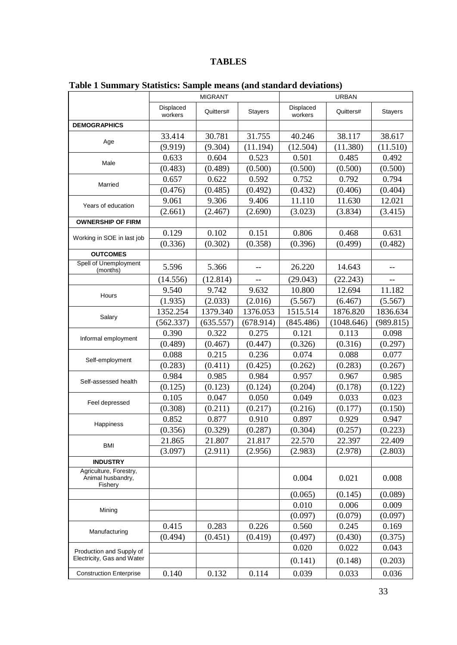# **TABLES**

|                                                        | <b>MIGRANT</b>       |           |           | <b>URBAN</b>         |            |                |  |
|--------------------------------------------------------|----------------------|-----------|-----------|----------------------|------------|----------------|--|
|                                                        | Displaced<br>workers | Quitters# | Stayers   | Displaced<br>workers | Quitters#  | <b>Stayers</b> |  |
| <b>DEMOGRAPHICS</b>                                    |                      |           |           |                      |            |                |  |
|                                                        | 33.414               | 30.781    | 31.755    | 40.246               | 38.117     | 38.617         |  |
| Age                                                    | (9.919)              | (9.304)   | (11.194)  | (12.504)             | (11.380)   | (11.510)       |  |
|                                                        | 0.633                | 0.604     | 0.523     | 0.501                | 0.485      | 0.492          |  |
| Male                                                   | (0.483)              | (0.489)   | (0.500)   | (0.500)              | (0.500)    | (0.500)        |  |
|                                                        | 0.657                | 0.622     | 0.592     | 0.752                | 0.792      | 0.794          |  |
| Married                                                | (0.476)              | (0.485)   | (0.492)   | (0.432)              | (0.406)    | (0.404)        |  |
|                                                        | 9.061                | 9.306     | 9.406     | 11.110               | 11.630     | 12.021         |  |
| Years of education                                     | (2.661)              | (2.467)   | (2.690)   | (3.023)              | (3.834)    | (3.415)        |  |
| <b>OWNERSHIP OF FIRM</b>                               |                      |           |           |                      |            |                |  |
|                                                        | 0.129                | 0.102     | 0.151     | 0.806                | 0.468      | 0.631          |  |
| Working in SOE in last job                             | (0.336)              | (0.302)   | (0.358)   | (0.396)              | (0.499)    | (0.482)        |  |
| <b>OUTCOMES</b>                                        |                      |           |           |                      |            |                |  |
| Spell of Unemployment<br>(months)                      | 5.596                | 5.366     | --        | 26.220               | 14.643     | $-$            |  |
|                                                        | (14.556)             | (12.814)  | $-$       | (29.043)             | (22.243)   | --             |  |
| Hours                                                  | 9.540                | 9.742     | 9.632     | 10.800               | 12.694     | 11.182         |  |
|                                                        | (1.935)              | (2.033)   | (2.016)   | (5.567)              | (6.467)    | (5.567)        |  |
|                                                        | 1352.254             | 1379.340  | 1376.053  | 1515.514             | 1876.820   | 1836.634       |  |
| Salary                                                 | (562.337)            | (635.557) | (678.914) | (845.486)            | (1048.646) | (989.815)      |  |
| Informal employment                                    | 0.390                | 0.322     | 0.275     | 0.121                | 0.113      | 0.098          |  |
|                                                        | (0.489)              | (0.467)   | (0.447)   | (0.326)              | (0.316)    | (0.297)        |  |
| Self-employment                                        | 0.088                | 0.215     | 0.236     | 0.074                | 0.088      | 0.077          |  |
|                                                        | (0.283)              | (0.411)   | (0.425)   | (0.262)              | (0.283)    | (0.267)        |  |
|                                                        | 0.984                | 0.985     | 0.984     | 0.957                | 0.967      | 0.985          |  |
| Self-assessed health                                   | (0.125)              | (0.123)   | (0.124)   | (0.204)              | (0.178)    | (0.122)        |  |
|                                                        | 0.105                | 0.047     | 0.050     | 0.049                | 0.033      | 0.023          |  |
| Feel depressed                                         | (0.308)              | (0.211)   | (0.217)   | (0.216)              | (0.177)    | (0.150)        |  |
|                                                        | 0.852                | 0.877     | 0.910     | 0.897                | 0.929      | 0.947          |  |
| Happiness                                              | (0.356)              | (0.329)   | (0.287)   | (0.304)              | (0.257)    | (0.223)        |  |
| <b>BMI</b>                                             | 21.865               | 21.807    | 21.817    | 22.570               | 22.397     | 22.409         |  |
|                                                        | (3.097)              | (2.911)   | (2.956)   | (2.983)              | (2.978)    | (2.803)        |  |
| <b>INDUSTRY</b>                                        |                      |           |           |                      |            |                |  |
| Agriculture, Forestry,<br>Animal husbandry,<br>Fishery |                      |           |           | 0.004                | 0.021      | 0.008          |  |
|                                                        |                      |           |           | (0.065)              | (0.145)    | (0.089)        |  |
|                                                        |                      |           |           | 0.010                | 0.006      | 0.009          |  |
| Mining                                                 |                      |           |           | (0.097)              | (0.079)    | (0.097)        |  |
|                                                        | 0.415                | 0.283     | 0.226     | 0.560                | 0.245      | 0.169          |  |
| Manufacturing                                          | (0.494)              | (0.451)   | (0.419)   | (0.497)              | (0.430)    | (0.375)        |  |
| Production and Supply of                               |                      |           |           | 0.020                | 0.022      | 0.043          |  |
| Electricity, Gas and Water                             |                      |           |           | (0.141)              | (0.148)    | (0.203)        |  |
| <b>Construction Enterprise</b>                         | 0.140                | 0.132     | 0.114     | 0.039                | 0.033      | 0.036          |  |

# **Table 1 Summary Statistics: Sample means (and standard deviations)**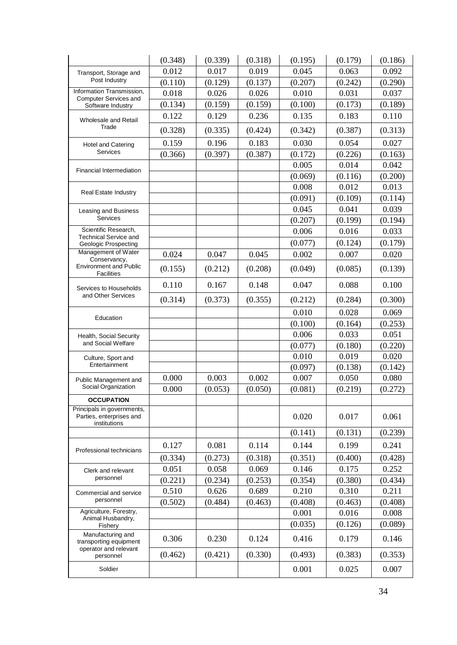|                                                                        | (0.348) | (0.339) | (0.318) | (0.195) | (0.179) | (0.186) |
|------------------------------------------------------------------------|---------|---------|---------|---------|---------|---------|
| Transport, Storage and                                                 | 0.012   | 0.017   | 0.019   | 0.045   | 0.063   | 0.092   |
| Post Industry                                                          | (0.110) | (0.129) | (0.137) | (0.207) | (0.242) | (0.290) |
| Information Transmission,<br><b>Computer Services and</b>              | 0.018   | 0.026   | 0.026   | 0.010   | 0.031   | 0.037   |
| Software Industry                                                      | (0.134) | (0.159) | (0.159) | (0.100) | (0.173) | (0.189) |
| <b>Wholesale and Retail</b>                                            | 0.122   | 0.129   | 0.236   | 0.135   | 0.183   | 0.110   |
| Trade                                                                  | (0.328) | (0.335) | (0.424) | (0.342) | (0.387) | (0.313) |
| Hotel and Catering                                                     | 0.159   | 0.196   | 0.183   | 0.030   | 0.054   | 0.027   |
| Services                                                               | (0.366) | (0.397) | (0.387) | (0.172) | (0.226) | (0.163) |
| <b>Financial Intermediation</b>                                        |         |         |         | 0.005   | 0.014   | 0.042   |
|                                                                        |         |         |         | (0.069) | (0.116) | (0.200) |
| <b>Real Estate Industry</b>                                            |         |         |         | 0.008   | 0.012   | 0.013   |
|                                                                        |         |         |         | (0.091) | (0.109) | (0.114) |
| Leasing and Business                                                   |         |         |         | 0.045   | 0.041   | 0.039   |
| <b>Services</b>                                                        |         |         |         | (0.207) | (0.199) | (0.194) |
| Scientific Research,<br><b>Technical Service and</b>                   |         |         |         | 0.006   | 0.016   | 0.033   |
| <b>Geologic Prospecting</b>                                            |         |         |         | (0.077) | (0.124) | (0.179) |
| Management of Water<br>Conservancy,                                    | 0.024   | 0.047   | 0.045   | 0.002   | 0.007   | 0.020   |
| <b>Environment and Public</b><br><b>Facilities</b>                     | (0.155) | (0.212) | (0.208) | (0.049) | (0.085) | (0.139) |
| Services to Households                                                 | 0.110   | 0.167   | 0.148   | 0.047   | 0.088   | 0.100   |
| and Other Services                                                     | (0.314) | (0.373) | (0.355) | (0.212) | (0.284) | (0.300) |
| Education                                                              |         |         |         | 0.010   | 0.028   | 0.069   |
|                                                                        |         |         |         | (0.100) | (0.164) | (0.253) |
| Health, Social Security                                                |         |         |         | 0.006   | 0.033   | 0.051   |
| and Social Welfare                                                     |         |         |         | (0.077) | (0.180) | (0.220) |
| Culture, Sport and                                                     |         |         |         | 0.010   | 0.019   | 0.020   |
| Entertainment                                                          |         |         |         | (0.097) | (0.138) | (0.142) |
| Public Management and                                                  | 0.000   | 0.003   | 0.002   | 0.007   | 0.050   | 0.080   |
| Social Organization                                                    | 0.000   | (0.053) | (0.050) | (0.081) | (0.219) | (0.272) |
| <b>OCCUPATION</b>                                                      |         |         |         |         |         |         |
| Principals in governments,<br>Parties, enterprises and<br>institutions |         |         |         | 0.020   | 0.017   | 0.061   |
|                                                                        |         |         |         | (0.141) | (0.131) | (0.239) |
| Professional technicians                                               | 0.127   | 0.081   | 0.114   | 0.144   | 0.199   | 0.241   |
|                                                                        | (0.334) | (0.273) | (0.318) | (0.351) | (0.400) | (0.428) |
| Clerk and relevant                                                     | 0.051   | 0.058   | 0.069   | 0.146   | 0.175   | 0.252   |
| personnel                                                              | (0.221) | (0.234) | (0.253) | (0.354) | (0.380) | (0.434) |
| Commercial and service                                                 | 0.510   | 0.626   | 0.689   | 0.210   | 0.310   | 0.211   |
| personnel                                                              | (0.502) | (0.484) | (0.463) | (0.408) | (0.463) | (0.408) |
| Agriculture, Forestry,                                                 |         |         |         | 0.001   | 0.016   | 0.008   |
| Animal Husbandry,<br>Fishery                                           |         |         |         | (0.035) | (0.126) | (0.089) |
| Manufacturing and<br>transporting equipment                            | 0.306   | 0.230   | 0.124   | 0.416   | 0.179   | 0.146   |
| operator and relevant<br>personnel                                     | (0.462) | (0.421) | (0.330) | (0.493) | (0.383) | (0.353) |
| Soldier                                                                |         |         |         | 0.001   | 0.025   | 0.007   |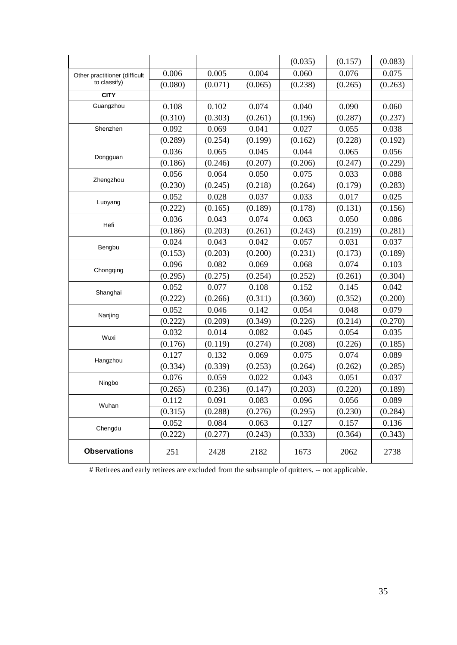|                               |         |         |         | (0.035) | (0.157) | (0.083) |
|-------------------------------|---------|---------|---------|---------|---------|---------|
| Other practitioner (difficult | 0.006   | 0.005   | 0.004   | 0.060   | 0.076   | 0.075   |
| to classify)                  | (0.080) | (0.071) | (0.065) | (0.238) | (0.265) | (0.263) |
| <b>CITY</b>                   |         |         |         |         |         |         |
| Guangzhou                     | 0.108   | 0.102   | 0.074   | 0.040   | 0.090   | 0.060   |
|                               | (0.310) | (0.303) | (0.261) | (0.196) | (0.287) | (0.237) |
| Shenzhen                      | 0.092   | 0.069   | 0.041   | 0.027   | 0.055   | 0.038   |
|                               | (0.289) | (0.254) | (0.199) | (0.162) | (0.228) | (0.192) |
| Dongguan                      | 0.036   | 0.065   | 0.045   | 0.044   | 0.065   | 0.056   |
|                               | (0.186) | (0.246) | (0.207) | (0.206) | (0.247) | (0.229) |
|                               | 0.056   | 0.064   | 0.050   | 0.075   | 0.033   | 0.088   |
| Zhengzhou                     | (0.230) | (0.245) | (0.218) | (0.264) | (0.179) | (0.283) |
|                               | 0.052   | 0.028   | 0.037   | 0.033   | 0.017   | 0.025   |
| Luoyang                       | (0.222) | (0.165) | (0.189) | (0.178) | (0.131) | (0.156) |
| Hefi                          | 0.036   | 0.043   | 0.074   | 0.063   | 0.050   | 0.086   |
|                               | (0.186) | (0.203) | (0.261) | (0.243) | (0.219) | (0.281) |
| Bengbu                        | 0.024   | 0.043   | 0.042   | 0.057   | 0.031   | 0.037   |
|                               | (0.153) | (0.203) | (0.200) | (0.231) | (0.173) | (0.189) |
| Chongqing                     | 0.096   | 0.082   | 0.069   | 0.068   | 0.074   | 0.103   |
|                               | (0.295) | (0.275) | (0.254) | (0.252) | (0.261) | (0.304) |
| Shanghai                      | 0.052   | 0.077   | 0.108   | 0.152   | 0.145   | 0.042   |
|                               | (0.222) | (0.266) | (0.311) | (0.360) | (0.352) | (0.200) |
| Nanjing                       | 0.052   | 0.046   | 0.142   | 0.054   | 0.048   | 0.079   |
|                               | (0.222) | (0.209) | (0.349) | (0.226) | (0.214) | (0.270) |
| Wuxi                          | 0.032   | 0.014   | 0.082   | 0.045   | 0.054   | 0.035   |
|                               | (0.176) | (0.119) | (0.274) | (0.208) | (0.226) | (0.185) |
| Hangzhou                      | 0.127   | 0.132   | 0.069   | 0.075   | 0.074   | 0.089   |
|                               | (0.334) | (0.339) | (0.253) | (0.264) | (0.262) | (0.285) |
| Ningbo                        | 0.076   | 0.059   | 0.022   | 0.043   | 0.051   | 0.037   |
|                               | (0.265) | (0.236) | (0.147) | (0.203) | (0.220) | (0.189) |
| Wuhan                         | 0.112   | 0.091   | 0.083   | 0.096   | 0.056   | 0.089   |
|                               | (0.315) | (0.288) | (0.276) | (0.295) | (0.230) | (0.284) |
| Chengdu                       | 0.052   | 0.084   | 0.063   | 0.127   | 0.157   | 0.136   |
|                               | (0.222) | (0.277) | (0.243) | (0.333) | (0.364) | (0.343) |
| <b>Observations</b>           | 251     | 2428    | 2182    | 1673    | 2062    | 2738    |

# Retirees and early retirees are excluded from the subsample of quitters. -- not applicable.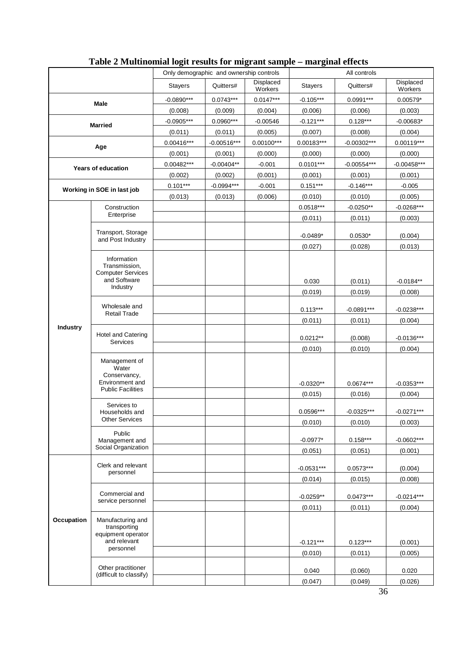|                            |                                                                                       | Only demographic and ownership controls |               |                      | All controls   |               |                      |  |
|----------------------------|---------------------------------------------------------------------------------------|-----------------------------------------|---------------|----------------------|----------------|---------------|----------------------|--|
|                            |                                                                                       | <b>Stayers</b>                          | Quitters#     | Displaced<br>Workers | <b>Stayers</b> | Quitters#     | Displaced<br>Workers |  |
|                            | <b>Male</b>                                                                           | $-0.0890***$                            | $0.0743***$   | $0.0147***$          | $-0.105***$    | $0.0991***$   | $0.00579*$           |  |
|                            |                                                                                       | (0.008)                                 | (0.009)       | (0.004)              | (0.006)        | (0.006)       | (0.003)              |  |
|                            | <b>Married</b>                                                                        | $-0.0905***$                            | $0.0960***$   | $-0.00546$           | $-0.121***$    | $0.128***$    | $-0.00683*$          |  |
|                            |                                                                                       | (0.011)                                 | (0.011)       | (0.005)              | (0.007)        | (0.008)       | (0.004)              |  |
|                            | Age                                                                                   | $0.00416***$                            | $-0.00516***$ | $0.00100***$         | $0.00183***$   | $-0.00302***$ | $0.00119***$         |  |
|                            |                                                                                       | (0.001)                                 | (0.001)       | (0.000)              | (0.000)        | (0.000)       | (0.000)              |  |
| <b>Years of education</b>  |                                                                                       | $0.00482***$                            | $-0.00404**$  | $-0.001$             | $0.0101***$    | $-0.00554***$ | $-0.00458***$        |  |
|                            |                                                                                       | (0.002)                                 | (0.002)       | (0.001)              | (0.001)        | (0.001)       | (0.001)              |  |
| Working in SOE in last job |                                                                                       | $0.101***$                              | $-0.0994***$  | $-0.001$             | $0.151***$     | $-0.146***$   | $-0.005$             |  |
|                            |                                                                                       | (0.013)                                 | (0.013)       | (0.006)              | (0.010)        | (0.010)       | (0.005)              |  |
|                            | Construction                                                                          |                                         |               |                      | $0.0518***$    | $-0.0250**$   | $-0.0268***$         |  |
|                            | Enterprise                                                                            |                                         |               |                      | (0.011)        | (0.011)       | (0.003)              |  |
|                            | Transport, Storage<br>and Post Industry                                               |                                         |               |                      | $-0.0489*$     | $0.0530*$     | (0.004)              |  |
|                            |                                                                                       |                                         |               |                      | (0.027)        | (0.028)       | (0.013)              |  |
|                            | Information<br>Transmission,<br><b>Computer Services</b><br>and Software<br>Industry  |                                         |               |                      | 0.030          | (0.011)       | $-0.0184**$          |  |
|                            |                                                                                       |                                         |               |                      | (0.019)        | (0.019)       | (0.008)              |  |
|                            | Wholesale and                                                                         |                                         |               |                      | $0.113***$     | $-0.0891***$  | $-0.0238***$         |  |
|                            | <b>Retail Trade</b>                                                                   |                                         |               |                      | (0.011)        | (0.011)       | (0.004)              |  |
| Industry                   | <b>Hotel and Catering</b>                                                             |                                         |               |                      | $0.0212**$     | (0.008)       | $-0.0136***$         |  |
|                            | <b>Services</b>                                                                       |                                         |               |                      | (0.010)        | (0.010)       | (0.004)              |  |
|                            | Management of<br>Water<br>Conservancy,<br>Environment and<br><b>Public Facilities</b> |                                         |               |                      | $-0.0320**$    | $0.0674***$   | $-0.0353***$         |  |
|                            |                                                                                       |                                         |               |                      | (0.015)        | (0.016)       | (0.004)              |  |
|                            | Services to<br>Households and                                                         |                                         |               |                      | 0.0596***      | $-0.0325***$  | $-0.0271***$         |  |
|                            | <b>Other Services</b>                                                                 |                                         |               |                      | (0.010)        | (0.010)       | (0.003)              |  |
|                            | Public                                                                                |                                         |               |                      |                |               |                      |  |
|                            | Management and<br>Social Organization                                                 |                                         |               |                      | $-0.0977*$     | $0.158***$    | $-0.0602***$         |  |
|                            |                                                                                       |                                         |               |                      | (0.051)        | (0.051)       | (0.001)              |  |
|                            | Clerk and relevant<br>personnel                                                       |                                         |               |                      | $-0.0531***$   | $0.0573***$   | (0.004)              |  |
|                            |                                                                                       |                                         |               |                      | (0.014)        | (0.015)       | (0.008)              |  |
|                            | Commercial and<br>service personnel                                                   |                                         |               |                      | $-0.0259**$    | $0.0473***$   | $-0.0214***$         |  |
|                            |                                                                                       |                                         |               |                      | (0.011)        | (0.011)       | (0.004)              |  |
| Occupation                 | Manufacturing and<br>transporting<br>equipment operator<br>and relevant<br>personnel  |                                         |               |                      | $-0.121***$    | $0.123***$    | (0.001)              |  |
|                            |                                                                                       |                                         |               |                      | (0.010)        | (0.011)       | (0.005)              |  |
|                            | Other practitioner<br>(difficult to classify)                                         |                                         |               |                      | 0.040          | (0.060)       | 0.020                |  |
|                            |                                                                                       |                                         |               |                      | (0.047)        | (0.049)       | (0.026)              |  |

# **Table 2 Multinomial logit results for migrant sample – marginal effects**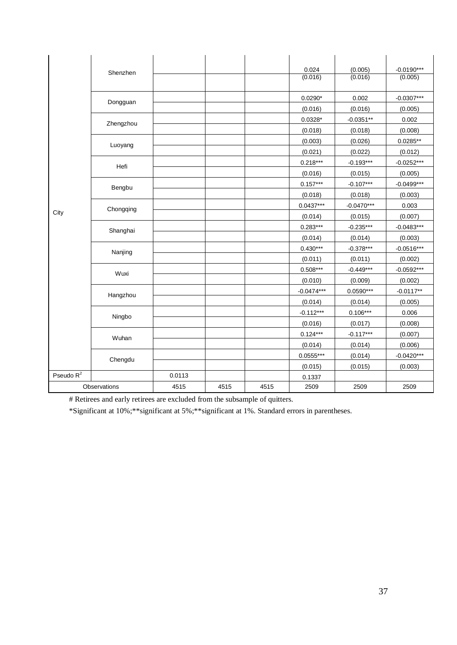|              | Shenzhen     |        |      |      | 0.024<br>(0.016) | (0.005)<br>(0.016) | $-0.0190***$<br>(0.005) |
|--------------|--------------|--------|------|------|------------------|--------------------|-------------------------|
|              | Dongguan     |        |      |      | $0.0290*$        | 0.002              | $-0.0307***$            |
|              |              |        |      |      | (0.016)          | (0.016)            | (0.005)                 |
|              | Zhengzhou    |        |      |      | $0.0328*$        | $-0.0351**$        | 0.002                   |
|              |              |        |      |      | (0.018)          | (0.018)            | (0.008)                 |
|              | Luoyang      |        |      |      | (0.003)          | (0.026)            | $0.0285**$              |
|              |              |        |      |      | (0.021)          | (0.022)            | (0.012)                 |
|              | Hefi         |        |      |      | $0.218***$       | $-0.193***$        | $-0.0252***$            |
|              |              |        |      |      | (0.016)          | (0.015)            | (0.005)                 |
|              | Bengbu       |        |      |      | $0.157***$       | $-0.107***$        | $-0.0499***$            |
|              |              |        |      |      | (0.018)          | (0.018)            | (0.003)                 |
|              | Chongqing    |        |      |      | $0.0437***$      | $-0.0470***$       | 0.003                   |
| City         |              |        |      |      | (0.014)          | (0.015)            | (0.007)                 |
|              | Shanghai     |        |      |      | $0.283***$       | $-0.235***$        | $-0.0483***$            |
|              |              |        |      |      | (0.014)          | (0.014)            | (0.003)                 |
|              | Nanjing      |        |      |      | $0.430***$       | $-0.378***$        | $-0.0516***$            |
|              |              |        |      |      | (0.011)          | (0.011)            | (0.002)                 |
|              | Wuxi         |        |      |      | $0.508***$       | $-0.449***$        | $-0.0592***$            |
|              |              |        |      |      | (0.010)          | (0.009)            | (0.002)                 |
|              | Hangzhou     |        |      |      | $-0.0474***$     | $0.0590***$        | $-0.0117**$             |
|              |              |        |      |      | (0.014)          | (0.014)            | (0.005)                 |
|              | Ningbo       |        |      |      | $-0.112***$      | $0.106***$         | 0.006                   |
|              |              |        |      |      | (0.016)          | (0.017)            | (0.008)                 |
|              | Wuhan        |        |      |      | $0.124***$       | $-0.117***$        | (0.007)                 |
|              |              |        |      |      | (0.014)          | (0.014)            | (0.006)                 |
|              | Chengdu      |        |      |      | $0.0555***$      | (0.014)            | $-0.0420***$            |
|              |              |        |      |      | (0.015)          | (0.015)            | (0.003)                 |
| Pseudo $R^2$ |              | 0.0113 |      |      | 0.1337           |                    |                         |
|              | Observations | 4515   | 4515 | 4515 | 2509             | 2509               | 2509                    |

# Retirees and early retirees are excluded from the subsample of quitters.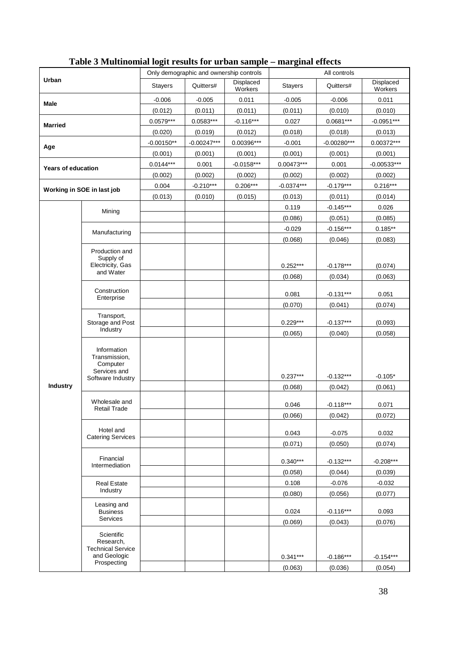|                           |                                               |                | Only demographic and ownership controls |                      |                | All controls  |                      |
|---------------------------|-----------------------------------------------|----------------|-----------------------------------------|----------------------|----------------|---------------|----------------------|
| Urban                     |                                               | <b>Stayers</b> | Quitters#                               | Displaced<br>Workers | <b>Stayers</b> | Quitters#     | Displaced<br>Workers |
| Male                      |                                               | $-0.006$       | $-0.005$                                | 0.011                | $-0.005$       | $-0.006$      | 0.011                |
|                           |                                               | (0.012)        | (0.011)                                 | (0.011)              | (0.011)        | (0.010)       | (0.010)              |
| <b>Married</b>            |                                               | $0.0579***$    | $0.0583***$                             | $-0.116***$          | 0.027          | $0.0681***$   | $-0.0951***$         |
|                           |                                               | (0.020)        | (0.019)                                 | (0.012)              | (0.018)        | (0.018)       | (0.013)              |
| Age                       |                                               | $-0.00150**$   | $-0.00247***$                           | $0.00396***$         | $-0.001$       | $-0.00280***$ | 0.00372***           |
|                           |                                               | (0.001)        | (0.001)                                 | (0.001)              | (0.001)        | (0.001)       | (0.001)              |
| <b>Years of education</b> |                                               | $0.0144***$    | 0.001                                   | $-0.0158***$         | 0.00473***     | 0.001         | $-0.00533***$        |
|                           |                                               | (0.002)        | (0.002)                                 | (0.002)              | (0.002)        | (0.002)       | (0.002)              |
|                           | Working in SOE in last job                    | 0.004          | $-0.210***$                             | $0.206***$           | $-0.0374***$   | $-0.179***$   | $0.216***$           |
|                           |                                               | (0.013)        | (0.010)                                 | (0.015)              | (0.013)        | (0.011)       | (0.014)              |
|                           | Mining                                        |                |                                         |                      | 0.119          | $-0.145***$   | 0.026                |
|                           |                                               |                |                                         |                      | (0.086)        | (0.051)       | (0.085)              |
|                           | Manufacturing                                 |                |                                         |                      | $-0.029$       | $-0.156***$   | $0.185**$            |
|                           |                                               |                |                                         |                      | (0.068)        | (0.046)       | (0.083)              |
|                           | Production and                                |                |                                         |                      |                |               |                      |
|                           | Supply of<br>Electricity, Gas                 |                |                                         |                      | $0.252***$     | $-0.178***$   | (0.074)              |
|                           | and Water                                     |                |                                         |                      | (0.068)        | (0.034)       | (0.063)              |
|                           |                                               |                |                                         |                      |                |               |                      |
|                           | Construction<br>Enterprise                    |                |                                         |                      | 0.081          | $-0.131***$   | 0.051                |
|                           |                                               |                |                                         |                      | (0.070)        | (0.041)       | (0.074)              |
|                           | Transport,                                    |                |                                         |                      |                |               |                      |
|                           | Storage and Post<br>Industry                  |                |                                         |                      | $0.229***$     | $-0.137***$   | (0.093)              |
|                           |                                               |                |                                         |                      | (0.065)        | (0.040)       | (0.058)              |
|                           | Information<br>Transmission,                  |                |                                         |                      |                |               |                      |
|                           | Computer<br>Services and<br>Software Industry |                |                                         |                      |                |               |                      |
|                           |                                               |                |                                         |                      | $0.237***$     | $-0.132***$   | $-0.105*$            |
| <b>Industry</b>           |                                               |                |                                         |                      | (0.068)        | (0.042)       | (0.061)              |
|                           | Wholesale and                                 |                |                                         |                      | 0.046          | $-0.118***$   | 0.071                |
|                           | <b>Retail Trade</b>                           |                |                                         |                      | (0.066)        | (0.042)       | (0.072)              |
|                           | Hotel and                                     |                |                                         |                      |                |               |                      |
|                           | <b>Catering Services</b>                      |                |                                         |                      | 0.043          | $-0.075$      | 0.032                |
|                           |                                               |                |                                         |                      | (0.071)        | (0.050)       | (0.074)              |
|                           | Financial                                     |                |                                         |                      | $0.340***$     | $-0.132***$   | $-0.208***$          |
|                           | Intermediation                                |                |                                         |                      | (0.058)        | (0.044)       | (0.039)              |
|                           | <b>Real Estate</b>                            |                |                                         |                      | 0.108          | $-0.076$      | $-0.032$             |
|                           | Industry                                      |                |                                         |                      | (0.080)        | (0.056)       | (0.077)              |
|                           | Leasing and                                   |                |                                         |                      |                |               |                      |
|                           | <b>Business</b>                               |                |                                         |                      | 0.024          | $-0.116***$   | 0.093                |
|                           | Services                                      |                |                                         |                      | (0.069)        | (0.043)       | (0.076)              |
|                           | Scientific                                    |                |                                         |                      |                |               |                      |
|                           | Research,<br><b>Technical Service</b>         |                |                                         |                      |                |               |                      |
|                           | and Geologic                                  |                |                                         |                      | $0.341***$     | $-0.186***$   | $-0.154***$          |
|                           | Prospecting                                   |                |                                         |                      | (0.063)        | (0.036)       | (0.054)              |

# **Table 3 Multinomial logit results for urban sample – marginal effects**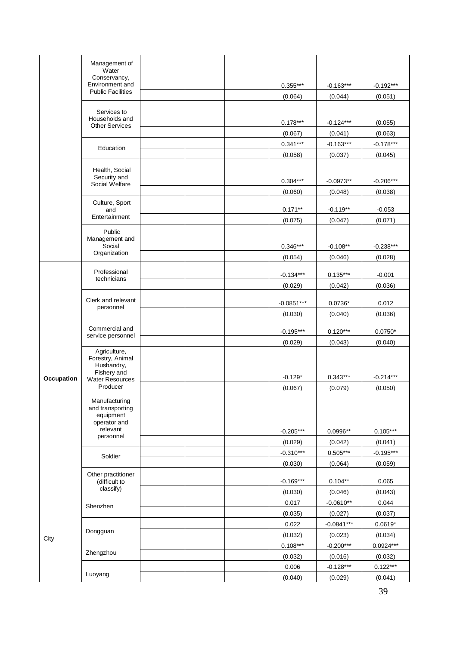|            | Management of<br>Water<br>Conservancy,                         |                         |                        |                        |
|------------|----------------------------------------------------------------|-------------------------|------------------------|------------------------|
|            | Environment and<br><b>Public Facilities</b>                    | $0.355***$              | $-0.163***$            | $-0.192***$            |
|            |                                                                | (0.064)                 | (0.044)                | (0.051)                |
|            | Services to<br>Households and                                  | $0.178***$              | $-0.124***$            | (0.055)                |
|            | <b>Other Services</b>                                          | (0.067)                 | (0.041)                | (0.063)                |
|            |                                                                | $0.341***$              | $-0.163***$            | $-0.178***$            |
|            | Education                                                      | (0.058)                 | (0.037)                | (0.045)                |
|            | Health, Social<br>Security and                                 |                         |                        |                        |
|            | Social Welfare                                                 | $0.304***$              | $-0.0973**$            | $-0.206***$            |
|            |                                                                | (0.060)                 | (0.048)                | (0.038)                |
|            | Culture, Sport<br>and<br>Entertainment                         | $0.171**$               | $-0.119**$             | $-0.053$               |
|            |                                                                | (0.075)                 | (0.047)                | (0.071)                |
|            | Public<br>Management and<br>Social                             |                         |                        |                        |
|            | Organization                                                   | $0.346***$<br>(0.054)   | $-0.108**$             | $-0.238***$            |
|            |                                                                |                         | (0.046)                | (0.028)                |
|            | Professional<br>technicians                                    | $-0.134***$             | $0.135***$             | $-0.001$               |
|            |                                                                | (0.029)                 | (0.042)                | (0.036)                |
|            | Clerk and relevant                                             |                         |                        |                        |
|            | personnel                                                      | $-0.0851***$<br>(0.030) | $0.0736*$<br>(0.040)   | 0.012                  |
|            |                                                                |                         |                        | (0.036)                |
|            | Commercial and<br>service personnel                            | $-0.195***$             | $0.120***$             | $0.0750*$              |
|            |                                                                | (0.029)                 | (0.043)                | (0.040)                |
|            | Agriculture,<br>Forestry, Animal<br>Husbandry,<br>Fishery and  | $-0.129*$               | $0.343***$             | $-0.214***$            |
| Occupation | <b>Water Resources</b><br>Producer                             | (0.067)                 | (0.079)                | (0.050)                |
|            | Manufacturing<br>and transporting<br>equipment<br>operator and |                         |                        |                        |
|            | relevant<br>personnel                                          | $-0.205***$             | 0.0996**               | $0.105***$             |
|            |                                                                | (0.029)                 | (0.042)                | (0.041)                |
|            | Soldier                                                        | $-0.310***$             | $0.505***$             | $-0.195***$            |
|            |                                                                | (0.030)                 | (0.064)                | (0.059)                |
|            | Other practitioner<br>(difficult to<br>classify)               | $-0.169***$             | $0.104**$              | 0.065                  |
|            |                                                                | (0.030)                 | (0.046)                | (0.043)                |
|            | Shenzhen                                                       | 0.017                   | $-0.0610**$            | 0.044                  |
|            |                                                                | (0.035)                 | (0.027)                | (0.037)                |
|            | Dongguan                                                       | 0.022                   | $-0.0841***$           | $0.0619*$              |
| City       |                                                                | (0.032)<br>$0.108***$   | (0.023)<br>$-0.200***$ | (0.034)<br>$0.0924***$ |
|            | Zhengzhou                                                      | (0.032)                 | (0.016)                | (0.032)                |
|            |                                                                | 0.006                   | $-0.128***$            | $0.122***$             |
|            | Luoyang                                                        | (0.040)                 | (0.029)                | (0.041)                |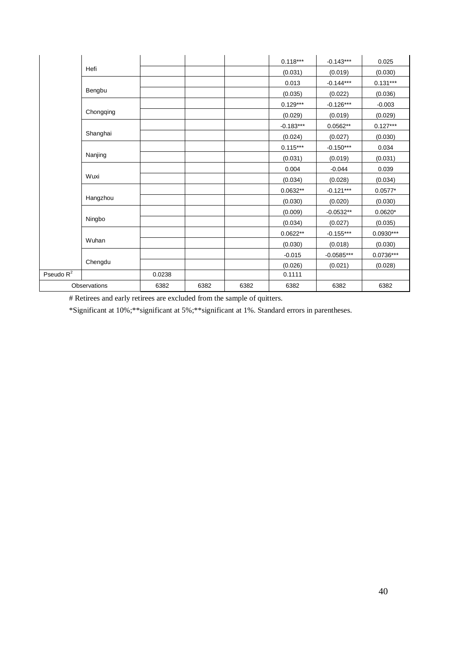|              |              |        |      |      | $0.118***$  | $-0.143***$  | 0.025       |
|--------------|--------------|--------|------|------|-------------|--------------|-------------|
|              | Hefi         |        |      |      | (0.031)     | (0.019)      | (0.030)     |
|              |              |        |      |      | 0.013       | $-0.144***$  | $0.131***$  |
|              | Bengbu       |        |      |      | (0.035)     | (0.022)      | (0.036)     |
|              |              |        |      |      | $0.129***$  | $-0.126***$  | $-0.003$    |
|              | Chongqing    |        |      |      | (0.029)     | (0.019)      | (0.029)     |
|              |              |        |      |      | $-0.183***$ | $0.0562**$   | $0.127***$  |
|              | Shanghai     |        |      |      | (0.024)     | (0.027)      | (0.030)     |
|              |              |        |      |      | $0.115***$  | $-0.150***$  | 0.034       |
|              | Nanjing      |        |      |      | (0.031)     | (0.019)      | (0.031)     |
|              |              |        |      |      | 0.004       | $-0.044$     | 0.039       |
|              | Wuxi         |        |      |      | (0.034)     | (0.028)      | (0.034)     |
|              |              |        |      |      | $0.0632**$  | $-0.121***$  | $0.0577*$   |
|              | Hangzhou     |        |      |      | (0.030)     | (0.020)      | (0.030)     |
|              |              |        |      |      | (0.009)     | $-0.0532**$  | $0.0620*$   |
|              | Ningbo       |        |      |      | (0.034)     | (0.027)      | (0.035)     |
|              |              |        |      |      | $0.0622**$  | $-0.155***$  | $0.0930***$ |
|              | Wuhan        |        |      |      | (0.030)     | (0.018)      | (0.030)     |
|              |              |        |      |      | $-0.015$    | $-0.0585***$ | 0.0736***   |
|              | Chengdu      |        |      |      | (0.026)     | (0.021)      | (0.028)     |
| Pseudo $R^2$ |              | 0.0238 |      |      | 0.1111      |              |             |
|              | Observations | 6382   | 6382 | 6382 | 6382        | 6382         | 6382        |

# Retirees and early retirees are excluded from the sample of quitters.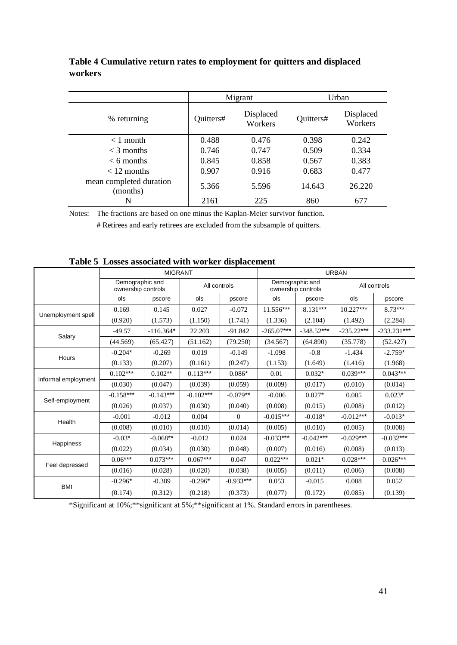|                                     |           | Migrant              | Urban     |                      |  |
|-------------------------------------|-----------|----------------------|-----------|----------------------|--|
| % returning                         | Quitters# | Displaced<br>Workers | Quitters# | Displaced<br>Workers |  |
| $< 1$ month                         | 0.488     | 0.476                | 0.398     | 0.242                |  |
| $<$ 3 months                        | 0.746     | 0.747                | 0.509     | 0.334                |  |
| $\leq 6$ months                     | 0.845     | 0.858                | 0.567     | 0.383                |  |
| $< 12$ months                       | 0.907     | 0.916                | 0.683     | 0.477                |  |
| mean completed duration<br>(months) | 5.366     | 5.596                | 14.643    | 26.220               |  |
| N                                   | 2161      | 225                  | 860       | 677                  |  |

**Table 4 Cumulative return rates to employment for quitters and displaced workers**

Notes: The fractions are based on one minus the Kaplan-Meier survivor function.

# Retirees and early retirees are excluded from the subsample of quitters.

|                     |                                       | <b>MIGRANT</b> |              |             |              |                                       | <b>URBAN</b> |               |
|---------------------|---------------------------------------|----------------|--------------|-------------|--------------|---------------------------------------|--------------|---------------|
|                     | Demographic and<br>ownership controls |                | All controls |             |              | Demographic and<br>ownership controls |              | All controls  |
|                     | ols                                   | pscore         | ols          | pscore      | ols          | pscore                                | ols          | pscore        |
|                     | 0.169                                 | 0.145          | 0.027        | $-0.072$    | $11.556***$  | $8.131***$                            | $10.227***$  | $8.73***$     |
| Unemployment spell  | (0.920)                               | (1.573)        | (1.150)      | (1.741)     | (1.336)      | (2.104)                               | (1.492)      | (2.284)       |
| Salary              | $-49.57$                              | $-116.364*$    | 22.203       | $-91.842$   | $-265.07***$ | $-348.52***$                          | $-235.22***$ | $-233.231***$ |
|                     | (44.569)                              | (65.427)       | (51.162)     | (79.250)    | (34.567)     | (64.890)                              | (35.778)     | (52.427)      |
|                     | $-0.204*$                             | $-0.269$       | 0.019        | $-0.149$    | $-1.098$     | $-0.8$                                | $-1.434$     | $-2.759*$     |
| Hours               | (0.133)                               | (0.207)        | (0.161)      | (0.247)     | (1.153)      | (1.649)                               | (1.416)      | (1.968)       |
|                     | $0.102***$                            | $0.102**$      | $0.113***$   | $0.086*$    | 0.01         | $0.032*$                              | $0.039***$   | $0.043***$    |
| Informal employment | (0.030)                               | (0.047)        | (0.039)      | (0.059)     | (0.009)      | (0.017)                               | (0.010)      | (0.014)       |
|                     | $-0.158***$                           | $-0.143***$    | $-0.102***$  | $-0.079**$  | $-0.006$     | $0.027*$                              | 0.005        | $0.023*$      |
| Self-employment     | (0.026)                               | (0.037)        | (0.030)      | (0.040)     | (0.008)      | (0.015)                               | (0.008)      | (0.012)       |
|                     | $-0.001$                              | $-0.012$       | 0.004        | $\theta$    | $-0.015***$  | $-0.018*$                             | $-0.012***$  | $-0.013*$     |
| Health              | (0.008)                               | (0.010)        | (0.010)      | (0.014)     | (0.005)      | (0.010)                               | (0.005)      | (0.008)       |
|                     | $-0.03*$                              | $-0.068**$     | $-0.012$     | 0.024       | $-0.033***$  | $-0.042***$                           | $-0.029***$  | $-0.032***$   |
| Happiness           | (0.022)                               | (0.034)        | (0.030)      | (0.048)     | (0.007)      | (0.016)                               | (0.008)      | (0.013)       |
|                     | $0.06***$                             | $0.073***$     | $0.067***$   | 0.047       | $0.022***$   | $0.021*$                              | $0.028***$   | $0.026***$    |
| Feel depressed      | (0.016)                               | (0.028)        | (0.020)      | (0.038)     | (0.005)      | (0.011)                               | (0.006)      | (0.008)       |
|                     | $-0.296*$                             | $-0.389$       | $-0.296*$    | $-0.933***$ | 0.053        | $-0.015$                              | 0.008        | 0.052         |
| <b>BMI</b>          | (0.174)                               | (0.312)        | (0.218)      | (0.373)     | (0.077)      | (0.172)                               | (0.085)      | (0.139)       |

**Table 5 Losses associated with worker displacement**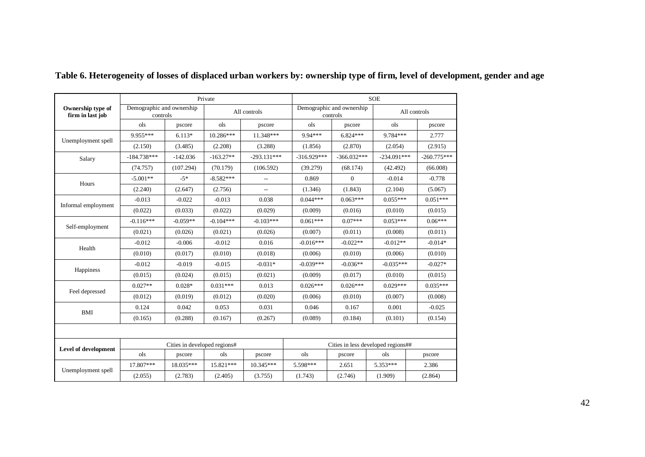|                                       |                                       |                              | Private     |               |               |                                       | <b>SOE</b>                         |               |
|---------------------------------------|---------------------------------------|------------------------------|-------------|---------------|---------------|---------------------------------------|------------------------------------|---------------|
| Ownership type of<br>firm in last job | Demographic and ownership<br>controls |                              |             | All controls  |               | Demographic and ownership<br>controls |                                    | All controls  |
|                                       | ols                                   | pscore                       | ols         | pscore        | ols           | pscore                                | ols                                | pscore        |
|                                       | 9.955***                              | $6.113*$                     | $10.286***$ | 11.348***     | 9.94***       | $6.824***$                            | 9.784***                           | 2.777         |
| Unemployment spell                    | (2.150)                               | (3.485)                      | (2.208)     | (3.288)       | (1.856)       | (2.870)                               | (2.054)                            | (2.915)       |
| Salary                                | $-184.738***$                         | $-142.036$                   | $-163.27**$ | $-293.131***$ | $-316.929***$ | $-366.032***$                         | $-234.091***$                      | $-260.775***$ |
|                                       | (74.757)                              | (107.294)                    | (70.179)    | (106.592)     | (39.279)      | (68.174)                              | (42.492)                           | (66.008)      |
| Hours                                 | $-5.001**$                            | $-5*$                        | $-8.582***$ | $\sim$        | 0.869         | $\mathbf{0}$                          | $-0.014$                           | $-0.778$      |
|                                       | (2.240)                               | (2.647)                      | (2.756)     | Ξ.            | (1.346)       | (1.843)                               | (2.104)                            | (5.067)       |
|                                       | $-0.013$                              | $-0.022$                     | $-0.013$    | 0.038         | $0.044***$    | $0.063***$                            | $0.055***$                         | $0.051***$    |
| Informal employment                   | (0.022)                               | (0.033)                      | (0.022)     | (0.029)       | (0.009)       | (0.016)                               | (0.010)                            | (0.015)       |
|                                       | $-0.116***$                           | $-0.059**$                   | $-0.104***$ | $-0.103***$   | $0.061***$    | $0.07***$                             | $0.053***$                         | $0.06***$     |
| Self-employment                       | (0.021)                               | (0.026)                      | (0.021)     | (0.026)       | (0.007)       | (0.011)                               | (0.008)                            | (0.011)       |
| Health                                | $-0.012$                              | $-0.006$                     | $-0.012$    | 0.016         | $-0.016***$   | $-0.022**$                            | $-0.012**$                         | $-0.014*$     |
|                                       | (0.010)                               | (0.017)                      | (0.010)     | (0.018)       | (0.006)       | (0.010)                               | (0.006)                            | (0.010)       |
|                                       | $-0.012$                              | $-0.019$                     | $-0.015$    | $-0.031*$     | $-0.039***$   | $-0.036**$                            | $-0.035***$                        | $-0.027*$     |
| Happiness                             | (0.015)                               | (0.024)                      | (0.015)     | (0.021)       | (0.009)       | (0.017)                               | (0.010)                            | (0.015)       |
| Feel depressed                        | $0.027**$                             | $0.028*$                     | $0.031***$  | 0.013         | $0.026***$    | $0.026***$                            | $0.029***$                         | $0.035***$    |
|                                       | (0.012)                               | (0.019)                      | (0.012)     | (0.020)       | (0.006)       | (0.010)                               | (0.007)                            | (0.008)       |
| BMI                                   | 0.124                                 | 0.042                        | 0.053       | 0.031         | 0.046         | 0.167                                 | 0.001                              | $-0.025$      |
|                                       | (0.165)                               | (0.288)                      | (0.167)     | (0.267)       | (0.089)       | (0.184)                               | (0.101)                            | (0.154)       |
|                                       |                                       |                              |             |               |               |                                       |                                    |               |
| Level of development                  |                                       | Cities in developed regions# |             |               |               |                                       | Cities in less developed regions## |               |
|                                       | ols                                   | pscore                       | ols         | pscore        | ols           | pscore                                | ols                                | pscore        |
| Unemployment spell                    | 17.807***                             | 18.035***                    | 15.821***   | $10.345***$   | 5.598***      | 2.651                                 | 5.353***                           | 2.386         |
|                                       | (2.055)                               | (2.783)                      | (2.405)     | (3.755)       | (1.743)       | (2.746)                               | (1.909)                            | (2.864)       |

# **Table 6. Heterogeneity of losses of displaced urban workers by: ownership type of firm, level of development, gender and age**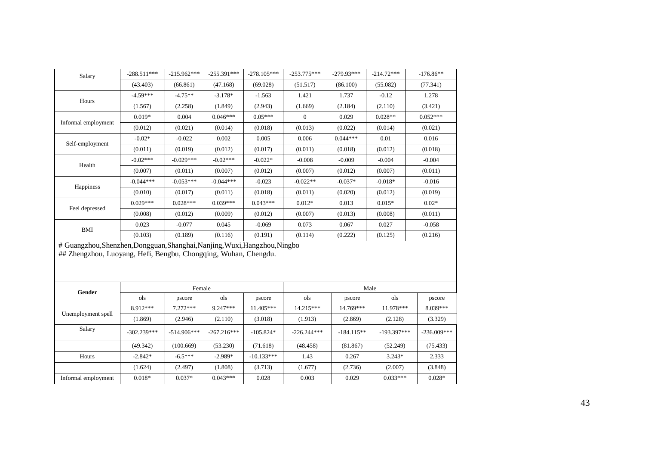| Salary              | $-288.511***$ | $-215.962***$ | $-255.391***$ | $-278.105***$ | $-253.775***$ | $-279.93***$ | $-214.72***$ | $-176.86**$ |
|---------------------|---------------|---------------|---------------|---------------|---------------|--------------|--------------|-------------|
|                     | (43.403)      | (66.861)      | (47.168)      | (69.028)      | (51.517)      | (86.100)     | (55.082)     | (77.341)    |
| Hours               | $-4.59***$    | $-4.75**$     | $-3.178*$     | $-1.563$      | 1.421         | 1.737        | $-0.12$      | 1.278       |
|                     | (1.567)       | (2.258)       | (1.849)       | (2.943)       | (1.669)       | (2.184)      | (2.110)      | (3.421)     |
|                     | $0.019*$      | 0.004         | $0.046***$    | $0.05***$     | $\Omega$      | 0.029        | $0.028**$    | $0.052***$  |
| Informal employment | (0.012)       | (0.021)       | (0.014)       | (0.018)       | (0.013)       | (0.022)      | (0.014)      | (0.021)     |
|                     | $-0.02*$      | $-0.022$      | 0.002         | 0.005         | 0.006         | $0.044***$   | 0.01         | 0.016       |
| Self-employment     | (0.011)       | (0.019)       | (0.012)       | (0.017)       | (0.011)       | (0.018)      | (0.012)      | (0.018)     |
| Health              | $-0.02***$    | $-0.029***$   | $-0.02***$    | $-0.022*$     | $-0.008$      | $-0.009$     | $-0.004$     | $-0.004$    |
|                     | (0.007)       | (0.011)       | (0.007)       | (0.012)       | (0.007)       | (0.012)      | (0.007)      | (0.011)     |
|                     | $-0.044***$   | $-0.053***$   | $-0.044***$   | $-0.023$      | $-0.022**$    | $-0.037*$    | $-0.018*$    | $-0.016$    |
| Happiness           | (0.010)       | (0.017)       | (0.011)       | (0.018)       | (0.011)       | (0.020)      | (0.012)      | (0.019)     |
|                     | $0.029***$    | $0.028***$    | $0.039***$    | $0.043***$    | $0.012*$      | 0.013        | $0.015*$     | $0.02*$     |
| Feel depressed      | (0.008)       | (0.012)       | (0.009)       | (0.012)       | (0.007)       | (0.013)      | (0.008)      | (0.011)     |
| BMI                 | 0.023         | $-0.077$      | 0.045         | $-0.069$      | 0.073         | 0.067        | 0.027        | $-0.058$    |
|                     | (0.103)       | (0.189)       | (0.116)       | (0.191)       | (0.114)       | (0.222)      | (0.125)      | (0.216)     |

# Guangzhou,Shenzhen,Dongguan,Shanghai,Nanjing,Wuxi,Hangzhou,Ningbo ## Zhengzhou, Luoyang, Hefi, Bengbu, Chongqing, Wuhan, Chengdu.

| Gender              |               | Female        |                                          |              | Male          |              |               |               |
|---------------------|---------------|---------------|------------------------------------------|--------------|---------------|--------------|---------------|---------------|
|                     | ols           | pscore        | ols                                      | pscore       | ols           | pscore       | ols           | pscore        |
|                     | 8.912***      | $7.272***$    | $9.247***$                               | $11.405***$  | $14.215***$   | 14.769***    | 11.978***     | 8.039***      |
| Unemployment spell  | (1.869)       | (2.946)       | (3.018)<br>(2.110)<br>(1.913)<br>(2.869) |              | (2.128)       | (3.329)      |               |               |
| Salary              | $-302.239***$ | $-514.906***$ | $-267.216***$                            | $-105.824*$  | $-226.244***$ | $-184.115**$ | $-193.397***$ | $-236.009***$ |
|                     | (49.342)      | (100.669)     | (53.230)                                 | (71.618)     | (48.458)      | (81.867)     | (52.249)      | (75.433)      |
| Hours               | $-2.842*$     | $-6.5***$     | $-2.989*$                                | $-10.133***$ | 1.43          | 0.267        | $3.243*$      | 2.333         |
|                     | (1.624)       | (2.497)       | (1.808)                                  | (3.713)      | (1.677)       | (2.736)      | (2.007)       | (3.848)       |
| Informal employment | $0.018*$      | $0.037*$      | $0.043***$                               | 0.028        | 0.003         | 0.029        | $0.033***$    | $0.028*$      |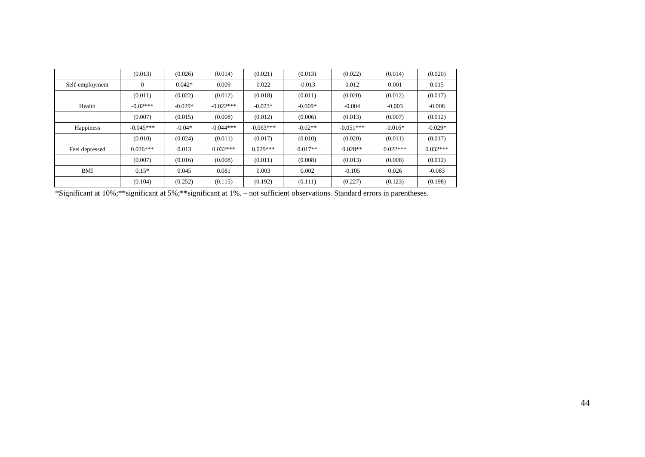|                 | (0.013)          | (0.026)   | (0.014)     | (0.021)     | (0.013)   | (0.022)     | (0.014)    | (0.020)    |
|-----------------|------------------|-----------|-------------|-------------|-----------|-------------|------------|------------|
| Self-employment | $\boldsymbol{0}$ | $0.042*$  | 0.009       | 0.022       | $-0.013$  | 0.012       | 0.001      | 0.015      |
|                 | (0.011)          | (0.022)   | (0.012)     | (0.018)     | (0.011)   | (0.020)     | (0.012)    | (0.017)    |
| Health          | $-0.02***$       | $-0.029*$ | $-0.022***$ | $-0.023*$   | $-0.009*$ | $-0.004$    | $-0.003$   | $-0.008$   |
|                 | (0.007)          | (0.015)   | (0.008)     | (0.012)     | (0.006)   | (0.013)     | (0.007)    | (0.012)    |
| Happiness       | $-0.045***$      | $-0.04*$  | $-0.044***$ | $-0.063***$ | $-0.02**$ | $-0.051***$ | $-0.016*$  | $-0.029*$  |
|                 | (0.010)          | (0.024)   | (0.011)     | (0.017)     | (0.010)   | (0.020)     | (0.011)    | (0.017)    |
| Feel depressed  | $0.026***$       | 0.013     | $0.032***$  | $0.029***$  | $0.017**$ | $0.028**$   | $0.022***$ | $0.032***$ |
|                 | (0.007)          | (0.016)   | (0.008)     | (0.011)     | (0.008)   | (0.013)     | (0.008)    | (0.012)    |
| BMI             | $0.15*$          | 0.045     | 0.081       | 0.003       | 0.002     | $-0.105$    | 0.026      | $-0.083$   |
|                 | (0.104)          | (0.252)   | (0.115)     | (0.192)     | (0.111)   | (0.227)     | (0.123)    | (0.198)    |

\*Significant at 10%;\*\*significant at 5%;\*\*significant at 1%. – not sufficient observations. Standard errors in parentheses.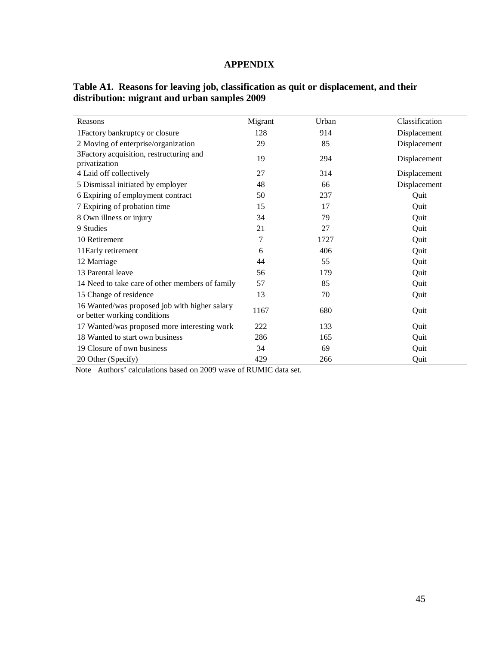# **APPENDIX**

| Reasons                                                                       | Migrant | Urban | Classification |
|-------------------------------------------------------------------------------|---------|-------|----------------|
| 1Factory bankruptcy or closure                                                | 128     | 914   | Displacement   |
| 2 Moving of enterprise/organization                                           | 29      | 85    | Displacement   |
| 3Factory acquisition, restructuring and<br>privatization                      | 19      | 294   | Displacement   |
| 4 Laid off collectively                                                       | 27      | 314   | Displacement   |
| 5 Dismissal initiated by employer                                             | 48      | 66    | Displacement   |
| 6 Expiring of employment contract                                             | 50      | 237   | Quit           |
| 7 Expiring of probation time                                                  | 15      | 17    | Quit           |
| 8 Own illness or injury                                                       | 34      | 79    | Quit           |
| 9 Studies                                                                     | 21      | 27    | Quit           |
| 10 Retirement                                                                 | 7       | 1727  | Quit           |
| 11 Early retirement                                                           | 6       | 406   | Quit           |
| 12 Marriage                                                                   | 44      | 55    | Quit           |
| 13 Parental leave                                                             | 56      | 179   | Quit           |
| 14 Need to take care of other members of family                               | 57      | 85    | Quit           |
| 15 Change of residence                                                        | 13      | 70    | Quit           |
| 16 Wanted/was proposed job with higher salary<br>or better working conditions | 1167    | 680   | Quit           |
| 17 Wanted/was proposed more interesting work                                  | 222     | 133   | Quit           |
| 18 Wanted to start own business                                               | 286     | 165   | Quit           |
| 19 Closure of own business                                                    | 34      | 69    | Quit           |
| 20 Other (Specify)                                                            | 429     | 266   | Quit           |

**Table A1. Reasons for leaving job, classification as quit or displacement, and their distribution: migrant and urban samples 2009**

Note Authors' calculations based on 2009 wave of RUMIC data set.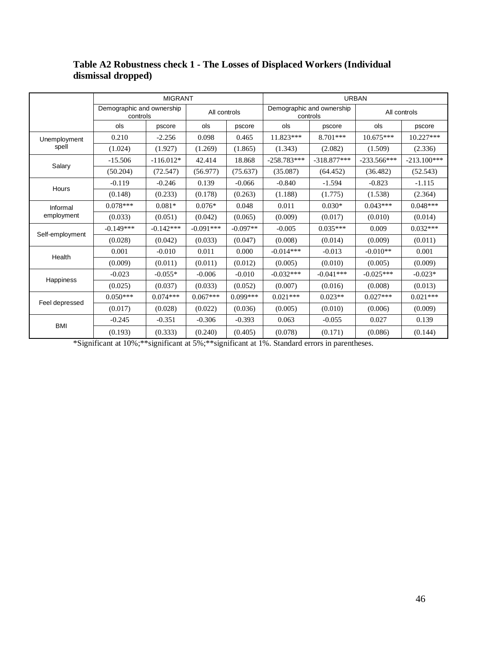|                  | <b>MIGRANT</b>                        |             |              |            | <b>URBAN</b>                          |                      |               |               |
|------------------|---------------------------------------|-------------|--------------|------------|---------------------------------------|----------------------|---------------|---------------|
|                  | Demographic and ownership<br>controls |             | All controls |            | Demographic and ownership<br>controls |                      | All controls  |               |
|                  | ols                                   | pscore      | ols          | pscore     | ols                                   | pscore               | ols           | pscore        |
| Unemployment     | 0.210                                 | $-2.256$    | 0.098        | 0.465      | 11.823***                             | $8.701***$           | $10.675***$   | $10.227***$   |
| spell            | (1.024)                               | (1.927)     | (1.269)      | (1.865)    | (1.343)                               | (2.082)              | (1.509)       | (2.336)       |
|                  | $-15.506$                             | $-116.012*$ | 42.414       | 18.868     | $-258.783***$                         | $-318.877***$        | $-233.566***$ | $-213.100***$ |
| Salary           | (50.204)                              | (72.547)    | (56.977)     | (75.637)   | (35.087)                              | (64.452)<br>$-1.594$ | (36.482)      | (52.543)      |
|                  | $-0.119$                              | $-0.246$    | 0.139        | $-0.066$   | $-0.840$                              |                      | $-0.823$      | $-1.115$      |
| Hours            | (0.148)                               | (0.233)     | (0.178)      | (0.263)    | (1.188)                               | (1.775)              | (1.538)       | (2.364)       |
| Informal         | $0.078***$                            | $0.081*$    | $0.076*$     | 0.048      | 0.011                                 | $0.030*$             | $0.043***$    | $0.048***$    |
| employment       | (0.033)                               | (0.051)     | (0.042)      | (0.065)    | (0.009)                               | (0.017)              | (0.010)       | (0.014)       |
|                  | $-0.149***$                           | $-0.142***$ | $-0.091***$  | $-0.097**$ | $-0.005$                              | $0.035***$           | 0.009         | $0.032***$    |
| Self-employment  | (0.028)                               | (0.042)     | (0.033)      | (0.047)    | (0.008)                               | (0.014)              | (0.009)       | (0.011)       |
| Health           | 0.001                                 | $-0.010$    | 0.011        | 0.000      | $-0.014***$                           | $-0.013$             | $-0.010**$    | 0.001         |
|                  | (0.009)                               | (0.011)     | (0.011)      | (0.012)    | (0.005)                               | (0.010)              | (0.005)       | (0.009)       |
|                  | $-0.023$                              | $-0.055*$   | $-0.006$     | $-0.010$   | $-0.032***$                           | $-0.041***$          | $-0.025***$   | $-0.023*$     |
| <b>Happiness</b> | (0.025)                               | (0.037)     | (0.033)      | (0.052)    | (0.007)                               | (0.016)              | (0.008)       | (0.013)       |
|                  | $0.050***$                            | $0.074***$  | $0.067***$   | $0.099***$ | $0.021***$                            | $0.023**$            | $0.027***$    | $0.021***$    |
| Feel depressed   | (0.017)                               | (0.028)     | (0.022)      | (0.036)    | (0.005)                               | (0.010)              | (0.006)       | (0.009)       |
| <b>BMI</b>       | $-0.245$                              | $-0.351$    | $-0.306$     | $-0.393$   | 0.063                                 | $-0.055$             | 0.027         | 0.139         |
|                  | (0.193)                               | (0.333)     | (0.240)      | (0.405)    | (0.078)                               | (0.171)              | (0.086)       | (0.144)       |

# **Table A2 Robustness check 1 - The Losses of Displaced Workers (Individual dismissal dropped)**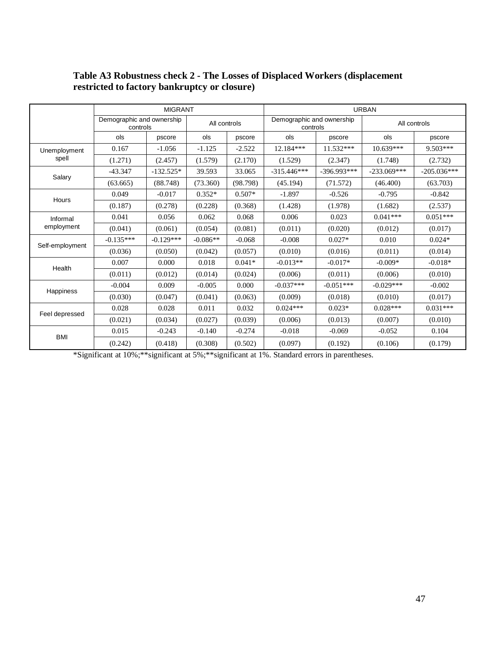|                 | <b>MIGRANT</b>                        |             |              |          | <b>URBAN</b>  |                                       |               |               |  |
|-----------------|---------------------------------------|-------------|--------------|----------|---------------|---------------------------------------|---------------|---------------|--|
|                 | Demographic and ownership<br>controls |             | All controls |          |               | Demographic and ownership<br>controls |               | All controls  |  |
|                 | ols                                   | pscore      | ols          | pscore   | ols           | pscore                                | ols           | pscore        |  |
| Unemployment    | 0.167                                 | $-1.056$    | $-1.125$     | $-2.522$ | 12.184***     | $11.532***$                           | $10.639***$   | $9.503***$    |  |
| spell           | (1.271)                               | (2.457)     | (1.579)      | (2.170)  | (1.529)       | (2.347)                               | (1.748)       | (2.732)       |  |
|                 | $-43.347$                             | $-132.525*$ | 39.593       | 33.065   | $-315.446***$ | $-396.993***$                         | $-233.069***$ | $-205.036***$ |  |
| Salary          | (63.665)                              | (88.748)    | (73.360)     | (98.798) | (45.194)      | (71.572)                              | (46.400)      | (63.703)      |  |
| <b>Hours</b>    | 0.049                                 | $-0.017$    | $0.352*$     | $0.507*$ | $-1.897$      | $-0.526$                              | $-0.795$      | $-0.842$      |  |
|                 | (0.187)                               | (0.278)     | (0.228)      | (0.368)  | (1.428)       | (1.978)                               | (1.682)       | (2.537)       |  |
| Informal        | 0.041                                 | 0.056       | 0.062        | 0.068    | 0.006         | 0.023                                 | $0.041***$    | $0.051***$    |  |
| employment      | (0.041)                               | (0.061)     | (0.054)      | (0.081)  | (0.011)       | (0.020)                               | (0.012)       | (0.017)       |  |
| Self-employment | $-0.135***$                           | $-0.129***$ | $-0.086**$   | $-0.068$ | $-0.008$      | $0.027*$                              | 0.010         | $0.024*$      |  |
|                 | (0.036)                               | (0.050)     | (0.042)      | (0.057)  | (0.010)       | (0.016)                               | (0.011)       | (0.014)       |  |
| Health          | 0.007                                 | 0.000       | 0.018        | $0.041*$ | $-0.013**$    | $-0.017*$                             | $-0.009*$     | $-0.018*$     |  |
|                 | (0.011)                               | (0.012)     | (0.014)      | (0.024)  | (0.006)       | (0.011)                               | (0.006)       | (0.010)       |  |
|                 | $-0.004$                              | 0.009       | $-0.005$     | 0.000    | $-0.037***$   | $-0.051***$                           | $-0.029***$   | $-0.002$      |  |
| Happiness       | (0.030)                               | (0.047)     | (0.041)      | (0.063)  | (0.009)       | (0.018)                               | (0.010)       | (0.017)       |  |
|                 | 0.028                                 | 0.028       | 0.011        | 0.032    | $0.024***$    | $0.023*$                              | $0.028***$    | $0.031***$    |  |
| Feel depressed  | (0.021)                               | (0.034)     | (0.027)      | (0.039)  | (0.006)       | (0.013)                               | (0.007)       | (0.010)       |  |
|                 | 0.015                                 | $-0.243$    | $-0.140$     | $-0.274$ | $-0.018$      | $-0.069$                              | $-0.052$      | 0.104         |  |
| <b>BMI</b>      | (0.242)                               | (0.418)     | (0.308)      | (0.502)  | (0.097)       | (0.192)                               | (0.106)       | (0.179)       |  |

## **Table A3 Robustness check 2 - The Losses of Displaced Workers (displacement restricted to factory bankruptcy or closure)**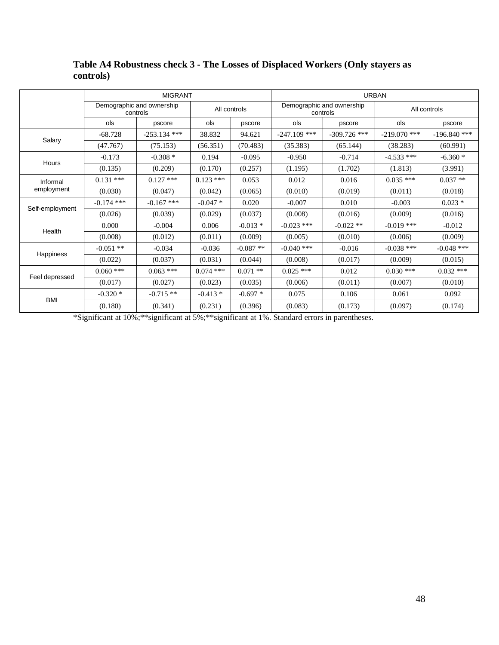|                 |                                       | <b>MIGRANT</b> |              |            | <b>URBAN</b>                          |                |                |                |
|-----------------|---------------------------------------|----------------|--------------|------------|---------------------------------------|----------------|----------------|----------------|
|                 | Demographic and ownership<br>controls |                | All controls |            | Demographic and ownership<br>controls |                | All controls   |                |
|                 | ols                                   | pscore         | ols          | pscore     | ols                                   | pscore         | ols            | pscore         |
|                 | $-68.728$                             | $-253.134$ *** | 38.832       | 94.621     | $-247.109$ ***                        | $-309.726$ *** | $-219.070$ *** | $-196.840$ *** |
| Salary          | (47.767)                              | (75.153)       | (56.351)     | (70.483)   | (35.383)                              | (65.144)       | (38.283)       | (60.991)       |
|                 | $-0.173$                              | $-0.308*$      | 0.194        | $-0.095$   | $-0.950$                              | $-0.714$       | $-4.533$ ***   | $-6.360*$      |
| Hours           | (0.135)                               | (0.209)        | (0.170)      | (0.257)    | (1.195)                               | (1.702)        | (1.813)        | (3.991)        |
| Informal        | $0.131$ ***                           | $0.127$ ***    | $0.123$ ***  | 0.053      | 0.012                                 | 0.016          | $0.035$ ***    | $0.037**$      |
| employment      | (0.030)                               | (0.047)        | (0.042)      | (0.065)    | (0.010)                               | (0.019)        | (0.011)        | (0.018)        |
|                 | $-0.174$ ***                          | $-0.167$ ***   | $-0.047*$    | 0.020      | $-0.007$                              | 0.010          | $-0.003$       | $0.023*$       |
| Self-employment | (0.026)                               | (0.039)        | (0.029)      | (0.037)    | (0.008)                               | (0.016)        | (0.009)        | (0.016)        |
|                 | 0.000                                 | $-0.004$       | 0.006        | $-0.013*$  | $-0.023$ ***                          | $-0.022**$     | $-0.019$ ***   | $-0.012$       |
| Health          | (0.008)                               | (0.012)        | (0.011)      | (0.009)    | (0.005)                               | (0.010)        | (0.006)        | (0.009)        |
|                 | $-0.051**$                            | $-0.034$       | $-0.036$     | $-0.087**$ | $-0.040$ ***                          | $-0.016$       | $-0.038$ ***   | $-0.048$ ***   |
| Happiness       | (0.022)                               | (0.037)        | (0.031)      | (0.044)    | (0.008)                               | (0.017)        | (0.009)        | (0.015)        |
|                 | $0.060$ ***                           | $0.063$ ***    | $0.074$ ***  | $0.071$ ** | $0.025$ ***                           | 0.012          | $0.030$ ***    | $0.032$ ***    |
| Feel depressed  | (0.017)                               | (0.027)        | (0.023)      | (0.035)    | (0.006)                               | (0.011)        | (0.007)        | (0.010)        |
|                 | $-0.320*$                             | $-0.715**$     | $-0.413*$    | $-0.697*$  | 0.075                                 | 0.106          | 0.061          | 0.092          |
| <b>BMI</b>      | (0.180)                               | (0.341)        | (0.231)      | (0.396)    | (0.083)                               | (0.173)        | (0.097)        | (0.174)        |

# **Table A4 Robustness check 3 - The Losses of Displaced Workers (Only stayers as controls)**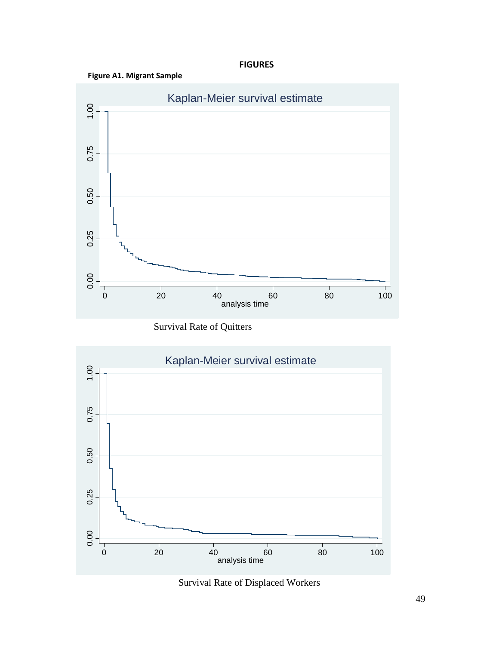## **FIGURES**





Survival Rate of Quitters



Survival Rate of Displaced Workers